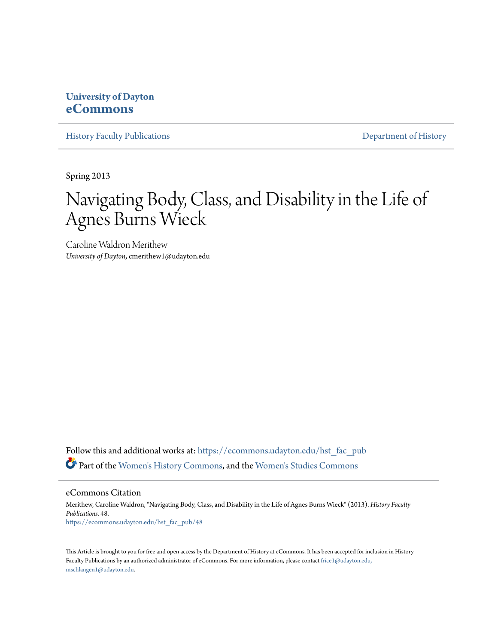# **University of Dayton [eCommons](https://ecommons.udayton.edu?utm_source=ecommons.udayton.edu%2Fhst_fac_pub%2F48&utm_medium=PDF&utm_campaign=PDFCoverPages)**

[History Faculty Publications](https://ecommons.udayton.edu/hst_fac_pub?utm_source=ecommons.udayton.edu%2Fhst_fac_pub%2F48&utm_medium=PDF&utm_campaign=PDFCoverPages) **[Department of History](https://ecommons.udayton.edu/hst?utm_source=ecommons.udayton.edu%2Fhst_fac_pub%2F48&utm_medium=PDF&utm_campaign=PDFCoverPages)** 

Spring 2013

# Navigating Body, Class, and Disability in the Life of Agnes Burns Wieck

Caroline Waldron Merithew *University of Dayton*, cmerithew1@udayton.edu

Follow this and additional works at: [https://ecommons.udayton.edu/hst\\_fac\\_pub](https://ecommons.udayton.edu/hst_fac_pub?utm_source=ecommons.udayton.edu%2Fhst_fac_pub%2F48&utm_medium=PDF&utm_campaign=PDFCoverPages) Part of the [Women's History Commons,](http://network.bepress.com/hgg/discipline/507?utm_source=ecommons.udayton.edu%2Fhst_fac_pub%2F48&utm_medium=PDF&utm_campaign=PDFCoverPages) and the [Women's Studies Commons](http://network.bepress.com/hgg/discipline/561?utm_source=ecommons.udayton.edu%2Fhst_fac_pub%2F48&utm_medium=PDF&utm_campaign=PDFCoverPages)

eCommons Citation

Merithew, Caroline Waldron, "Navigating Body, Class, and Disability in the Life of Agnes Burns Wieck" (2013). *History Faculty Publications*. 48. [https://ecommons.udayton.edu/hst\\_fac\\_pub/48](https://ecommons.udayton.edu/hst_fac_pub/48?utm_source=ecommons.udayton.edu%2Fhst_fac_pub%2F48&utm_medium=PDF&utm_campaign=PDFCoverPages)

This Article is brought to you for free and open access by the Department of History at eCommons. It has been accepted for inclusion in History Faculty Publications by an authorized administrator of eCommons. For more information, please contact [frice1@udayton.edu,](mailto:frice1@udayton.edu,%20mschlangen1@udayton.edu) [mschlangen1@udayton.edu.](mailto:frice1@udayton.edu,%20mschlangen1@udayton.edu)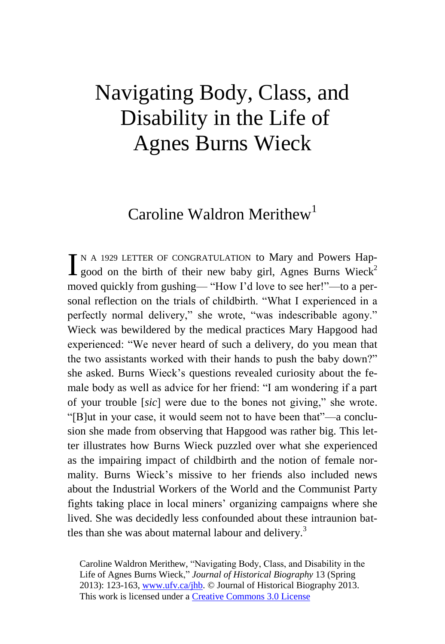# Navigating Body, Class, and Disability in the Life of Agnes Burns Wieck

# Caroline Waldron Merithew<sup>1</sup>

N A 1929 LETTER OF CONGRATULATION to Mary and Powers Hap- $\prod$ <sup>N</sup> A 1929 LETTER OF CONGRATULATION to Mary and Powers Hap-<br>good on the birth of their new baby girl, Agnes Burns Wieck<sup>2</sup> moved quickly from gushing— "How I'd love to see her!"—to a personal reflection on the trials of childbirth. "What I experienced in a perfectly normal delivery," she wrote, "was indescribable agony." Wieck was bewildered by the medical practices Mary Hapgood had experienced: "We never heard of such a delivery, do you mean that the two assistants worked with their hands to push the baby down?" she asked. Burns Wieck's questions revealed curiosity about the female body as well as advice for her friend: "I am wondering if a part of your trouble [*sic*] were due to the bones not giving," she wrote. "[B]ut in your case, it would seem not to have been that"—a conclusion she made from observing that Hapgood was rather big. This letter illustrates how Burns Wieck puzzled over what she experienced as the impairing impact of childbirth and the notion of female normality. Burns Wieck's missive to her friends also included news about the Industrial Workers of the World and the Communist Party fights taking place in local miners' organizing campaigns where she lived. She was decidedly less confounded about these intraunion battles than she was about maternal labour and delivery.<sup>3</sup>

Caroline Waldron Merithew, "Navigating Body, Class, and Disability in the Life of Agnes Burns Wieck," *Journal of Historical Biography* 13 (Spring 2013): 123-163, www.ufv.ca/jhb. © Journal of Historical Biography 2013. This work is licensed under a Creative Commons 3.0 License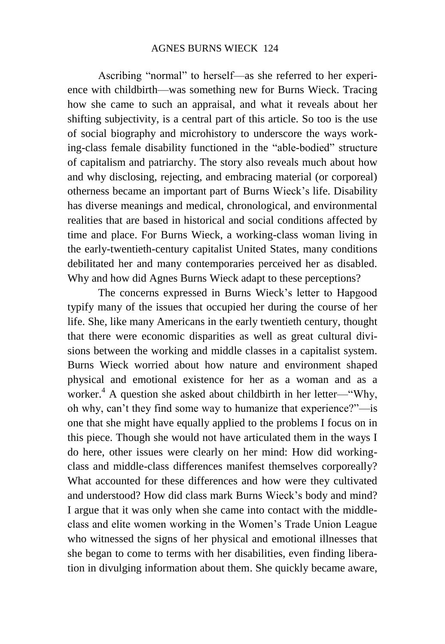Ascribing "normal" to herself—as she referred to her experience with childbirth—was something new for Burns Wieck. Tracing how she came to such an appraisal, and what it reveals about her shifting subjectivity, is a central part of this article. So too is the use of social biography and microhistory to underscore the ways working-class female disability functioned in the "able-bodied" structure of capitalism and patriarchy. The story also reveals much about how and why disclosing, rejecting, and embracing material (or corporeal) otherness became an important part of Burns Wieck's life. Disability has diverse meanings and medical, chronological, and environmental realities that are based in historical and social conditions affected by time and place. For Burns Wieck, a working-class woman living in the early-twentieth-century capitalist United States, many conditions debilitated her and many contemporaries perceived her as disabled. Why and how did Agnes Burns Wieck adapt to these perceptions?

The concerns expressed in Burns Wieck's letter to Hapgood typify many of the issues that occupied her during the course of her life. She, like many Americans in the early twentieth century, thought that there were economic disparities as well as great cultural divisions between the working and middle classes in a capitalist system. Burns Wieck worried about how nature and environment shaped physical and emotional existence for her as a woman and as a worker.<sup>4</sup> A question she asked about childbirth in her letter—"Why, oh why, can't they find some way to humanize that experience?"—is one that she might have equally applied to the problems I focus on in this piece. Though she would not have articulated them in the ways I do here, other issues were clearly on her mind: How did workingclass and middle-class differences manifest themselves corporeally? What accounted for these differences and how were they cultivated and understood? How did class mark Burns Wieck's body and mind? I argue that it was only when she came into contact with the middleclass and elite women working in the Women's Trade Union League who witnessed the signs of her physical and emotional illnesses that she began to come to terms with her disabilities, even finding liberation in divulging information about them. She quickly became aware,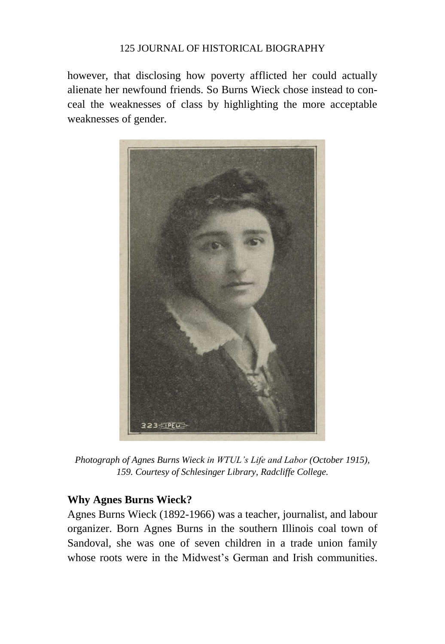however, that disclosing how poverty afflicted her could actually alienate her newfound friends. So Burns Wieck chose instead to conceal the weaknesses of class by highlighting the more acceptable weaknesses of gender.



*Photograph of Agnes Burns Wieck in WTUL's Life and Labor (October 1915), 159. Courtesy of Schlesinger Library, Radcliffe College.*

# **Why Agnes Burns Wieck?**

Agnes Burns Wieck (1892-1966) was a teacher, journalist, and labour organizer. Born Agnes Burns in the southern Illinois coal town of Sandoval, she was one of seven children in a trade union family whose roots were in the Midwest's German and Irish communities.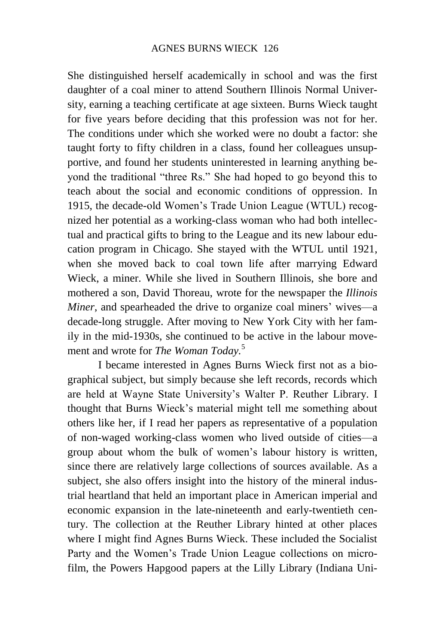She distinguished herself academically in school and was the first daughter of a coal miner to attend Southern Illinois Normal University, earning a teaching certificate at age sixteen. Burns Wieck taught for five years before deciding that this profession was not for her. The conditions under which she worked were no doubt a factor: she taught forty to fifty children in a class, found her colleagues unsupportive, and found her students uninterested in learning anything beyond the traditional "three Rs." She had hoped to go beyond this to teach about the social and economic conditions of oppression. In 1915, the decade-old Women's Trade Union League (WTUL) recognized her potential as a working-class woman who had both intellectual and practical gifts to bring to the League and its new labour education program in Chicago. She stayed with the WTUL until 1921, when she moved back to coal town life after marrying Edward Wieck, a miner. While she lived in Southern Illinois, she bore and mothered a son, David Thoreau, wrote for the newspaper the *Illinois Miner*, and spearheaded the drive to organize coal miners' wives—a decade-long struggle. After moving to New York City with her family in the mid-1930s, she continued to be active in the labour movement and wrote for *The Woman Today.*<sup>5</sup>

I became interested in Agnes Burns Wieck first not as a biographical subject, but simply because she left records, records which are held at Wayne State University's Walter P. Reuther Library. I thought that Burns Wieck's material might tell me something about others like her, if I read her papers as representative of a population of non-waged working-class women who lived outside of cities—a group about whom the bulk of women's labour history is written, since there are relatively large collections of sources available. As a subject, she also offers insight into the history of the mineral industrial heartland that held an important place in American imperial and economic expansion in the late-nineteenth and early-twentieth century. The collection at the Reuther Library hinted at other places where I might find Agnes Burns Wieck. These included the Socialist Party and the Women's Trade Union League collections on microfilm, the Powers Hapgood papers at the Lilly Library (Indiana Uni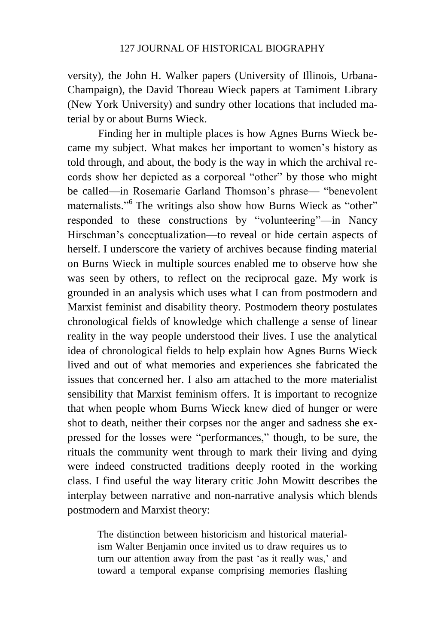versity), the John H. Walker papers (University of Illinois, Urbana-Champaign), the David Thoreau Wieck papers at Tamiment Library (New York University) and sundry other locations that included material by or about Burns Wieck.

Finding her in multiple places is how Agnes Burns Wieck became my subject. What makes her important to women's history as told through, and about, the body is the way in which the archival records show her depicted as a corporeal "other" by those who might be called—in Rosemarie Garland Thomson's phrase— "benevolent maternalists."<sup>6</sup> The writings also show how Burns Wieck as "other" responded to these constructions by "volunteering"—in Nancy Hirschman's conceptualization—to reveal or hide certain aspects of herself. I underscore the variety of archives because finding material on Burns Wieck in multiple sources enabled me to observe how she was seen by others, to reflect on the reciprocal gaze. My work is grounded in an analysis which uses what I can from postmodern and Marxist feminist and disability theory. Postmodern theory postulates chronological fields of knowledge which challenge a sense of linear reality in the way people understood their lives. I use the analytical idea of chronological fields to help explain how Agnes Burns Wieck lived and out of what memories and experiences she fabricated the issues that concerned her. I also am attached to the more materialist sensibility that Marxist feminism offers. It is important to recognize that when people whom Burns Wieck knew died of hunger or were shot to death, neither their corpses nor the anger and sadness she expressed for the losses were "performances," though, to be sure, the rituals the community went through to mark their living and dying were indeed constructed traditions deeply rooted in the working class. I find useful the way literary critic John Mowitt describes the interplay between narrative and non-narrative analysis which blends postmodern and Marxist theory:

The distinction between historicism and historical materialism Walter Benjamin once invited us to draw requires us to turn our attention away from the past 'as it really was,' and toward a temporal expanse comprising memories flashing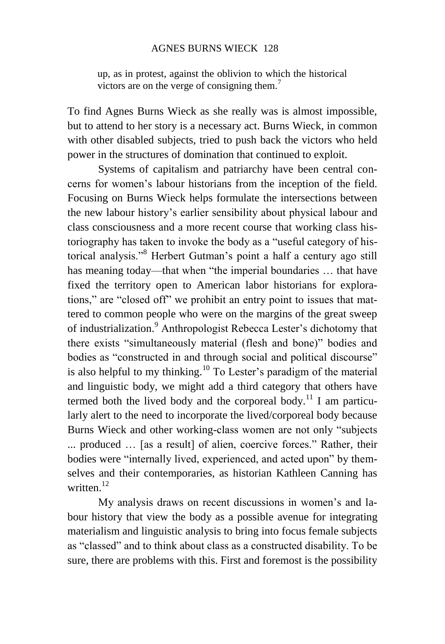#### AGNES BURNS WIECK 128

up, as in protest, against the oblivion to which the historical victors are on the verge of consigning them.<sup>7</sup>

To find Agnes Burns Wieck as she really was is almost impossible, but to attend to her story is a necessary act. Burns Wieck, in common with other disabled subjects, tried to push back the victors who held power in the structures of domination that continued to exploit.

Systems of capitalism and patriarchy have been central concerns for women's labour historians from the inception of the field. Focusing on Burns Wieck helps formulate the intersections between the new labour history's earlier sensibility about physical labour and class consciousness and a more recent course that working class historiography has taken to invoke the body as a "useful category of historical analysis."<sup>8</sup> Herbert Gutman's point a half a century ago still has meaning today—that when "the imperial boundaries ... that have fixed the territory open to American labor historians for explorations," are "closed off" we prohibit an entry point to issues that mattered to common people who were on the margins of the great sweep of industrialization.<sup>9</sup> Anthropologist Rebecca Lester's dichotomy that there exists "simultaneously material (flesh and bone)" bodies and bodies as "constructed in and through social and political discourse" is also helpful to my thinking.<sup>10</sup> To Lester's paradigm of the material and linguistic body, we might add a third category that others have termed both the lived body and the corporeal body.<sup>11</sup> I am particularly alert to the need to incorporate the lived/corporeal body because Burns Wieck and other working-class women are not only "subjects ... produced … [as a result] of alien, coercive forces." Rather, their bodies were "internally lived, experienced, and acted upon" by themselves and their contemporaries, as historian Kathleen Canning has written $12$ 

My analysis draws on recent discussions in women's and labour history that view the body as a possible avenue for integrating materialism and linguistic analysis to bring into focus female subjects as "classed" and to think about class as a constructed disability. To be sure, there are problems with this. First and foremost is the possibility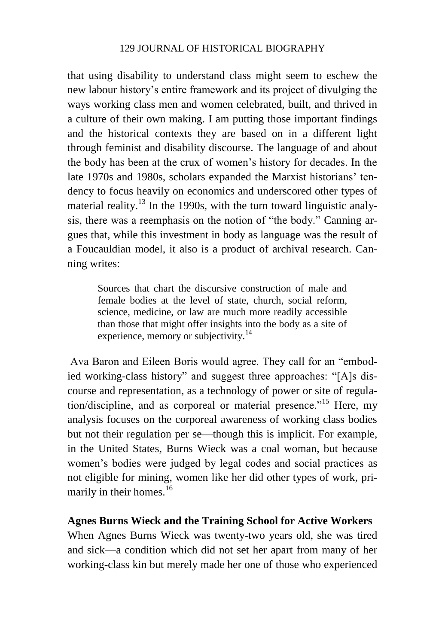that using disability to understand class might seem to eschew the new labour history's entire framework and its project of divulging the ways working class men and women celebrated, built, and thrived in a culture of their own making. I am putting those important findings and the historical contexts they are based on in a different light through feminist and disability discourse. The language of and about the body has been at the crux of women's history for decades. In the late 1970s and 1980s, scholars expanded the Marxist historians' tendency to focus heavily on economics and underscored other types of material reality.<sup>13</sup> In the 1990s, with the turn toward linguistic analysis, there was a reemphasis on the notion of "the body." Canning argues that, while this investment in body as language was the result of a Foucauldian model, it also is a product of archival research. Canning writes:

Sources that chart the discursive construction of male and female bodies at the level of state, church, social reform, science, medicine, or law are much more readily accessible than those that might offer insights into the body as a site of experience, memory or subjectivity.<sup>14</sup>

Ava Baron and Eileen Boris would agree. They call for an "embodied working-class history" and suggest three approaches: "[A]s discourse and representation, as a technology of power or site of regulation/discipline, and as corporeal or material presence."<sup>15</sup> Here, my analysis focuses on the corporeal awareness of working class bodies but not their regulation per se—though this is implicit. For example, in the United States, Burns Wieck was a coal woman, but because women's bodies were judged by legal codes and social practices as not eligible for mining, women like her did other types of work, primarily in their homes.<sup>16</sup>

## **Agnes Burns Wieck and the Training School for Active Workers**

When Agnes Burns Wieck was twenty-two years old, she was tired and sick—a condition which did not set her apart from many of her working-class kin but merely made her one of those who experienced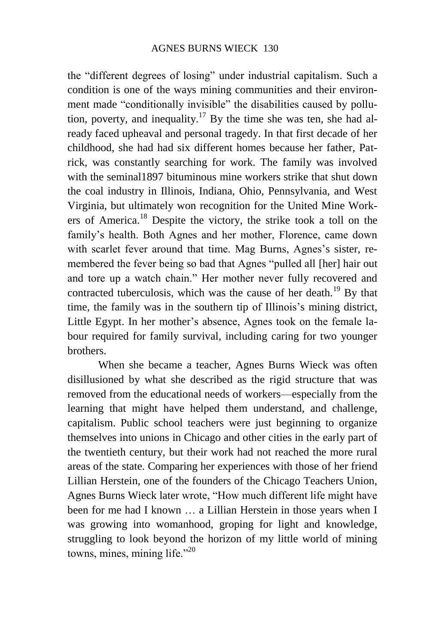the "different degrees of losing" under industrial capitalism. Such a condition is one of the ways mining communities and their environment made "conditionally invisible" the disabilities caused by pollution, poverty, and inequality.<sup>17</sup> By the time she was ten, she had already faced upheaval and personal tragedy. In that first decade of her childhood, she had had six different homes because her father, Patrick, was constantly searching for work. The family was involved with the seminal1897 bituminous mine workers strike that shut down the coal industry in Illinois, Indiana, Ohio, Pennsylvania, and West Virginia, but ultimately won recognition for the United Mine Workers of America.<sup>18</sup> Despite the victory, the strike took a toll on the family's health. Both Agnes and her mother, Florence, came down with scarlet fever around that time. Mag Burns, Agnes's sister, remembered the fever being so bad that Agnes "pulled all [her] hair out and tore up a watch chain." Her mother never fully recovered and contracted tuberculosis, which was the cause of her death.<sup>19</sup> By that time, the family was in the southern tip of Illinois's mining district, Little Egypt. In her mother's absence, Agnes took on the female labour required for family survival, including caring for two younger brothers.

When she became a teacher, Agnes Burns Wieck was often disillusioned by what she described as the rigid structure that was removed from the educational needs of workers—especially from the learning that might have helped them understand, and challenge, capitalism. Public school teachers were just beginning to organize themselves into unions in Chicago and other cities in the early part of the twentieth century, but their work had not reached the more rural areas of the state. Comparing her experiences with those of her friend Lillian Herstein, one of the founders of the Chicago Teachers Union, Agnes Burns Wieck later wrote, "How much different life might have been for me had I known … a Lillian Herstein in those years when I was growing into womanhood, groping for light and knowledge, struggling to look beyond the horizon of my little world of mining towns, mines, mining life."<sup>20</sup>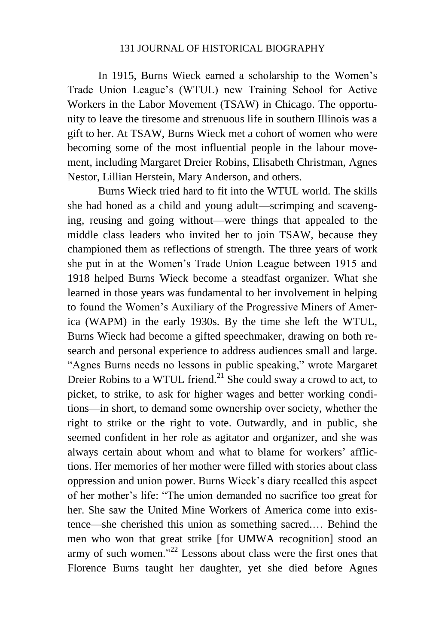In 1915, Burns Wieck earned a scholarship to the Women's Trade Union League's (WTUL) new Training School for Active Workers in the Labor Movement (TSAW) in Chicago. The opportunity to leave the tiresome and strenuous life in southern Illinois was a gift to her. At TSAW, Burns Wieck met a cohort of women who were becoming some of the most influential people in the labour movement, including Margaret Dreier Robins, Elisabeth Christman, Agnes Nestor, Lillian Herstein, Mary Anderson, and others.

Burns Wieck tried hard to fit into the WTUL world. The skills she had honed as a child and young adult—scrimping and scavenging, reusing and going without—were things that appealed to the middle class leaders who invited her to join TSAW, because they championed them as reflections of strength. The three years of work she put in at the Women's Trade Union League between 1915 and 1918 helped Burns Wieck become a steadfast organizer. What she learned in those years was fundamental to her involvement in helping to found the Women's Auxiliary of the Progressive Miners of America (WAPM) in the early 1930s. By the time she left the WTUL, Burns Wieck had become a gifted speechmaker, drawing on both research and personal experience to address audiences small and large. "Agnes Burns needs no lessons in public speaking," wrote Margaret Dreier Robins to a WTUL friend. $^{21}$  She could sway a crowd to act, to picket, to strike, to ask for higher wages and better working conditions—in short, to demand some ownership over society, whether the right to strike or the right to vote. Outwardly, and in public, she seemed confident in her role as agitator and organizer, and she was always certain about whom and what to blame for workers' afflictions. Her memories of her mother were filled with stories about class oppression and union power. Burns Wieck's diary recalled this aspect of her mother's life: "The union demanded no sacrifice too great for her. She saw the United Mine Workers of America come into existence—she cherished this union as something sacred.… Behind the men who won that great strike [for UMWA recognition] stood an army of such women."<sup>22</sup> Lessons about class were the first ones that Florence Burns taught her daughter, yet she died before Agnes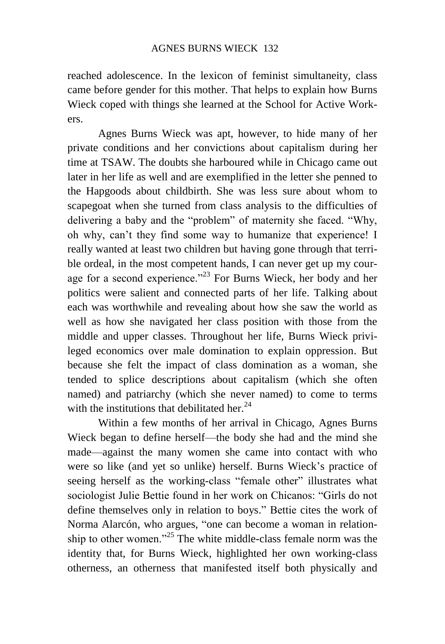reached adolescence. In the lexicon of feminist simultaneity, class came before gender for this mother. That helps to explain how Burns Wieck coped with things she learned at the School for Active Workers.

Agnes Burns Wieck was apt, however, to hide many of her private conditions and her convictions about capitalism during her time at TSAW. The doubts she harboured while in Chicago came out later in her life as well and are exemplified in the letter she penned to the Hapgoods about childbirth. She was less sure about whom to scapegoat when she turned from class analysis to the difficulties of delivering a baby and the "problem" of maternity she faced. "Why, oh why, can't they find some way to humanize that experience! I really wanted at least two children but having gone through that terrible ordeal, in the most competent hands, I can never get up my courage for a second experience."<sup>23</sup> For Burns Wieck, her body and her politics were salient and connected parts of her life. Talking about each was worthwhile and revealing about how she saw the world as well as how she navigated her class position with those from the middle and upper classes. Throughout her life, Burns Wieck privileged economics over male domination to explain oppression. But because she felt the impact of class domination as a woman, she tended to splice descriptions about capitalism (which she often named) and patriarchy (which she never named) to come to terms with the institutions that debilitated her. $24$ 

Within a few months of her arrival in Chicago, Agnes Burns Wieck began to define herself—the body she had and the mind she made—against the many women she came into contact with who were so like (and yet so unlike) herself. Burns Wieck's practice of seeing herself as the working-class "female other" illustrates what sociologist Julie Bettie found in her work on Chicanos: "Girls do not define themselves only in relation to boys." Bettie cites the work of Norma Alarcón, who argues, "one can become a woman in relationship to other women."<sup>25</sup> The white middle-class female norm was the identity that, for Burns Wieck, highlighted her own working-class otherness, an otherness that manifested itself both physically and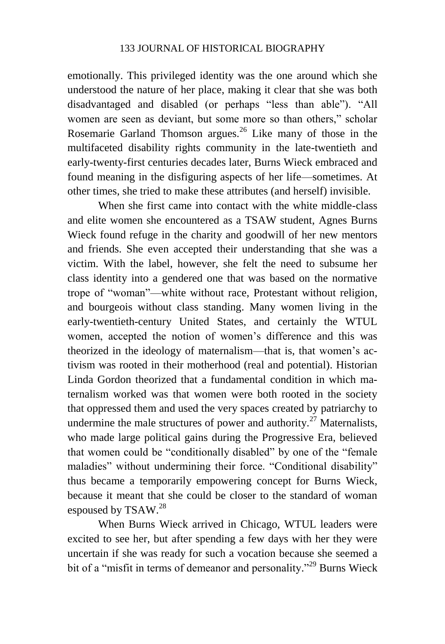emotionally. This privileged identity was the one around which she understood the nature of her place, making it clear that she was both disadvantaged and disabled (or perhaps "less than able"). "All women are seen as deviant, but some more so than others," scholar Rosemarie Garland Thomson argues.<sup>26</sup> Like many of those in the multifaceted disability rights community in the late-twentieth and early-twenty-first centuries decades later, Burns Wieck embraced and found meaning in the disfiguring aspects of her life—sometimes. At other times, she tried to make these attributes (and herself) invisible.

When she first came into contact with the white middle-class and elite women she encountered as a TSAW student, Agnes Burns Wieck found refuge in the charity and goodwill of her new mentors and friends. She even accepted their understanding that she was a victim. With the label, however, she felt the need to subsume her class identity into a gendered one that was based on the normative trope of "woman"—white without race, Protestant without religion, and bourgeois without class standing. Many women living in the early-twentieth-century United States, and certainly the WTUL women, accepted the notion of women's difference and this was theorized in the ideology of maternalism—that is, that women's activism was rooted in their motherhood (real and potential). Historian Linda Gordon theorized that a fundamental condition in which maternalism worked was that women were both rooted in the society that oppressed them and used the very spaces created by patriarchy to undermine the male structures of power and authority.<sup>27</sup> Maternalists, who made large political gains during the Progressive Era, believed that women could be "conditionally disabled" by one of the "female maladies" without undermining their force. "Conditional disability" thus became a temporarily empowering concept for Burns Wieck, because it meant that she could be closer to the standard of woman espoused by TSAW.<sup>28</sup>

When Burns Wieck arrived in Chicago, WTUL leaders were excited to see her, but after spending a few days with her they were uncertain if she was ready for such a vocation because she seemed a bit of a "misfit in terms of demeanor and personality."<sup>29</sup> Burns Wieck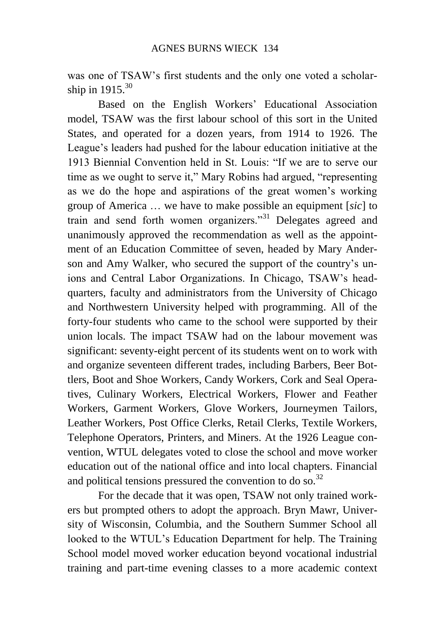was one of TSAW's first students and the only one voted a scholarship in  $1915$ .<sup>30</sup>

Based on the English Workers' Educational Association model, TSAW was the first labour school of this sort in the United States, and operated for a dozen years, from 1914 to 1926. The League's leaders had pushed for the labour education initiative at the 1913 Biennial Convention held in St. Louis: "If we are to serve our time as we ought to serve it," Mary Robins had argued, "representing as we do the hope and aspirations of the great women's working group of America … we have to make possible an equipment [*sic*] to train and send forth women organizers."<sup>31</sup> Delegates agreed and unanimously approved the recommendation as well as the appointment of an Education Committee of seven, headed by Mary Anderson and Amy Walker, who secured the support of the country's unions and Central Labor Organizations. In Chicago, TSAW's headquarters, faculty and administrators from the University of Chicago and Northwestern University helped with programming. All of the forty-four students who came to the school were supported by their union locals. The impact TSAW had on the labour movement was significant: seventy-eight percent of its students went on to work with and organize seventeen different trades, including Barbers, Beer Bottlers, Boot and Shoe Workers, Candy Workers, Cork and Seal Operatives, Culinary Workers, Electrical Workers, Flower and Feather Workers, Garment Workers, Glove Workers, Journeymen Tailors, Leather Workers, Post Office Clerks, Retail Clerks, Textile Workers, Telephone Operators, Printers, and Miners. At the 1926 League convention, WTUL delegates voted to close the school and move worker education out of the national office and into local chapters. Financial and political tensions pressured the convention to do so.<sup>32</sup>

For the decade that it was open, TSAW not only trained workers but prompted others to adopt the approach. Bryn Mawr, University of Wisconsin, Columbia, and the Southern Summer School all looked to the WTUL's Education Department for help. The Training School model moved worker education beyond vocational industrial training and part-time evening classes to a more academic context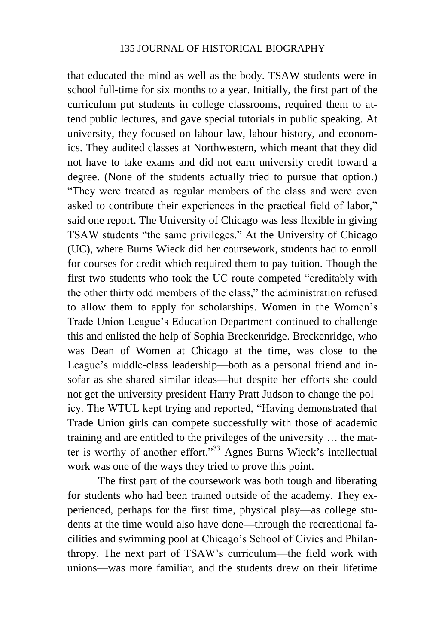that educated the mind as well as the body. TSAW students were in school full-time for six months to a year. Initially, the first part of the curriculum put students in college classrooms, required them to attend public lectures, and gave special tutorials in public speaking. At university, they focused on labour law, labour history, and economics. They audited classes at Northwestern, which meant that they did not have to take exams and did not earn university credit toward a degree. (None of the students actually tried to pursue that option.) "They were treated as regular members of the class and were even asked to contribute their experiences in the practical field of labor," said one report. The University of Chicago was less flexible in giving TSAW students "the same privileges." At the University of Chicago (UC), where Burns Wieck did her coursework, students had to enroll for courses for credit which required them to pay tuition. Though the first two students who took the UC route competed "creditably with the other thirty odd members of the class," the administration refused to allow them to apply for scholarships. Women in the Women's Trade Union League's Education Department continued to challenge this and enlisted the help of Sophia Breckenridge. Breckenridge, who was Dean of Women at Chicago at the time, was close to the League's middle-class leadership—both as a personal friend and insofar as she shared similar ideas—but despite her efforts she could not get the university president Harry Pratt Judson to change the policy. The WTUL kept trying and reported, "Having demonstrated that Trade Union girls can compete successfully with those of academic training and are entitled to the privileges of the university … the matter is worthy of another effort."<sup>33</sup> Agnes Burns Wieck's intellectual work was one of the ways they tried to prove this point.

The first part of the coursework was both tough and liberating for students who had been trained outside of the academy. They experienced, perhaps for the first time, physical play—as college students at the time would also have done—through the recreational facilities and swimming pool at Chicago's School of Civics and Philanthropy. The next part of TSAW's curriculum—the field work with unions—was more familiar, and the students drew on their lifetime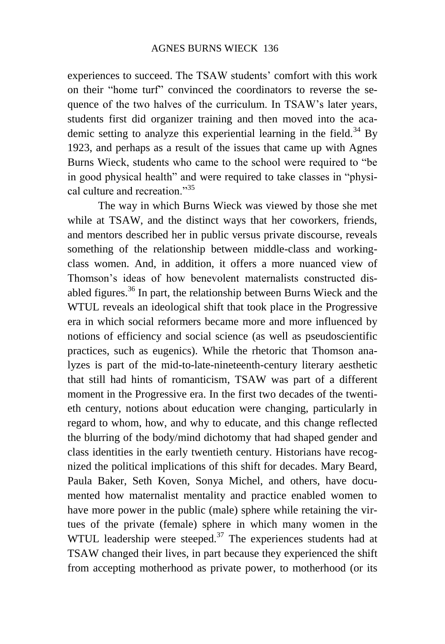experiences to succeed. The TSAW students' comfort with this work on their "home turf" convinced the coordinators to reverse the sequence of the two halves of the curriculum. In TSAW's later years, students first did organizer training and then moved into the academic setting to analyze this experiential learning in the field.<sup>34</sup> By 1923, and perhaps as a result of the issues that came up with Agnes Burns Wieck, students who came to the school were required to "be in good physical health" and were required to take classes in "physical culture and recreation."<sup>35</sup>

The way in which Burns Wieck was viewed by those she met while at TSAW, and the distinct ways that her coworkers, friends, and mentors described her in public versus private discourse, reveals something of the relationship between middle-class and workingclass women. And, in addition, it offers a more nuanced view of Thomson's ideas of how benevolent maternalists constructed disabled figures.<sup>36</sup> In part, the relationship between Burns Wieck and the WTUL reveals an ideological shift that took place in the Progressive era in which social reformers became more and more influenced by notions of efficiency and social science (as well as pseudoscientific practices, such as eugenics). While the rhetoric that Thomson analyzes is part of the mid-to-late-nineteenth-century literary aesthetic that still had hints of romanticism, TSAW was part of a different moment in the Progressive era. In the first two decades of the twentieth century, notions about education were changing, particularly in regard to whom, how, and why to educate, and this change reflected the blurring of the body/mind dichotomy that had shaped gender and class identities in the early twentieth century. Historians have recognized the political implications of this shift for decades. Mary Beard, Paula Baker, Seth Koven, Sonya Michel, and others, have documented how maternalist mentality and practice enabled women to have more power in the public (male) sphere while retaining the virtues of the private (female) sphere in which many women in the WTUL leadership were steeped. $37$  The experiences students had at TSAW changed their lives, in part because they experienced the shift from accepting motherhood as private power, to motherhood (or its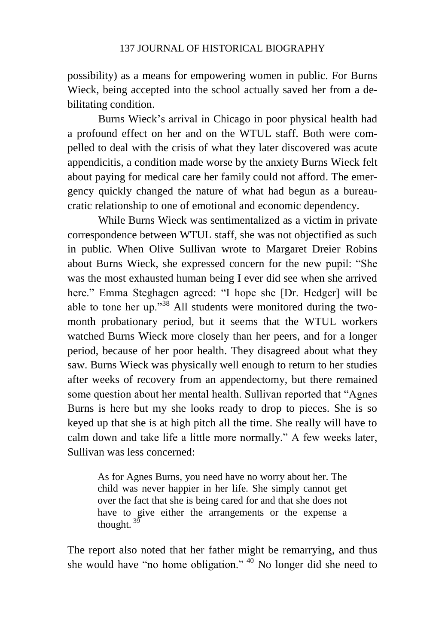possibility) as a means for empowering women in public. For Burns Wieck, being accepted into the school actually saved her from a debilitating condition.

Burns Wieck's arrival in Chicago in poor physical health had a profound effect on her and on the WTUL staff. Both were compelled to deal with the crisis of what they later discovered was acute appendicitis, a condition made worse by the anxiety Burns Wieck felt about paying for medical care her family could not afford. The emergency quickly changed the nature of what had begun as a bureaucratic relationship to one of emotional and economic dependency.

While Burns Wieck was sentimentalized as a victim in private correspondence between WTUL staff, she was not objectified as such in public. When Olive Sullivan wrote to Margaret Dreier Robins about Burns Wieck, she expressed concern for the new pupil: "She was the most exhausted human being I ever did see when she arrived here." Emma Steghagen agreed: "I hope she [Dr. Hedger] will be able to tone her up."<sup>38</sup> All students were monitored during the twomonth probationary period, but it seems that the WTUL workers watched Burns Wieck more closely than her peers, and for a longer period, because of her poor health. They disagreed about what they saw. Burns Wieck was physically well enough to return to her studies after weeks of recovery from an appendectomy, but there remained some question about her mental health. Sullivan reported that "Agnes Burns is here but my she looks ready to drop to pieces. She is so keyed up that she is at high pitch all the time. She really will have to calm down and take life a little more normally." A few weeks later, Sullivan was less concerned:

As for Agnes Burns, you need have no worry about her. The child was never happier in her life. She simply cannot get over the fact that she is being cared for and that she does not have to give either the arrangements or the expense a thought.  $3\overline{9}$ 

The report also noted that her father might be remarrying, and thus she would have "no home obligation."  $40$  No longer did she need to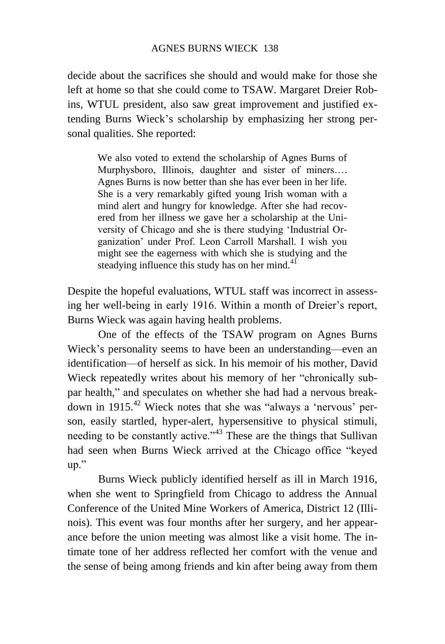decide about the sacrifices she should and would make for those she left at home so that she could come to TSAW. Margaret Dreier Robins, WTUL president, also saw great improvement and justified extending Burns Wieck's scholarship by emphasizing her strong personal qualities. She reported:

We also voted to extend the scholarship of Agnes Burns of Murphysboro, Illinois, daughter and sister of miners…. Agnes Burns is now better than she has ever been in her life. She is a very remarkably gifted young Irish woman with a mind alert and hungry for knowledge. After she had recovered from her illness we gave her a scholarship at the University of Chicago and she is there studying 'Industrial Organization' under Prof. Leon Carroll Marshall. I wish you might see the eagerness with which she is studying and the steadying influence this study has on her mind.<sup>41</sup>

Despite the hopeful evaluations, WTUL staff was incorrect in assessing her well-being in early 1916. Within a month of Dreier's report, Burns Wieck was again having health problems.

One of the effects of the TSAW program on Agnes Burns Wieck's personality seems to have been an understanding—even an identification—of herself as sick. In his memoir of his mother, David Wieck repeatedly writes about his memory of her "chronically subpar health," and speculates on whether she had had a nervous breakdown in 1915.<sup>42</sup> Wieck notes that she was "always a 'nervous' person, easily startled, hyper-alert, hypersensitive to physical stimuli, needing to be constantly active."<sup>43</sup> These are the things that Sullivan had seen when Burns Wieck arrived at the Chicago office "keyed up."

Burns Wieck publicly identified herself as ill in March 1916, when she went to Springfield from Chicago to address the Annual Conference of the United Mine Workers of America, District 12 (Illinois). This event was four months after her surgery, and her appearance before the union meeting was almost like a visit home. The intimate tone of her address reflected her comfort with the venue and the sense of being among friends and kin after being away from them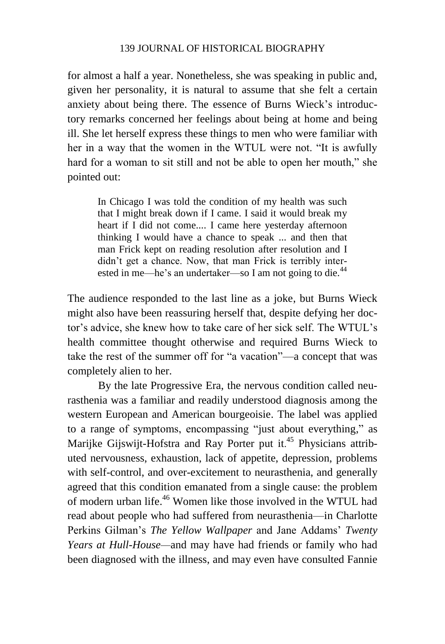for almost a half a year. Nonetheless, she was speaking in public and, given her personality, it is natural to assume that she felt a certain anxiety about being there. The essence of Burns Wieck's introductory remarks concerned her feelings about being at home and being ill. She let herself express these things to men who were familiar with her in a way that the women in the WTUL were not. "It is awfully hard for a woman to sit still and not be able to open her mouth," she pointed out:

In Chicago I was told the condition of my health was such that I might break down if I came. I said it would break my heart if I did not come.... I came here yesterday afternoon thinking I would have a chance to speak ... and then that man Frick kept on reading resolution after resolution and I didn't get a chance. Now, that man Frick is terribly interested in me—he's an undertaker—so I am not going to die.<sup>44</sup>

The audience responded to the last line as a joke, but Burns Wieck might also have been reassuring herself that, despite defying her doctor's advice, she knew how to take care of her sick self. The WTUL's health committee thought otherwise and required Burns Wieck to take the rest of the summer off for "a vacation"—a concept that was completely alien to her.

By the late Progressive Era, the nervous condition called neurasthenia was a familiar and readily understood diagnosis among the western European and American bourgeoisie. The label was applied to a range of symptoms, encompassing "just about everything," as Marijke Gijswijt-Hofstra and Ray Porter put it.<sup>45</sup> Physicians attributed nervousness, exhaustion, lack of appetite, depression, problems with self-control, and over-excitement to neurasthenia, and generally agreed that this condition emanated from a single cause: the problem of modern urban life. <sup>46</sup> Women like those involved in the WTUL had read about people who had suffered from neurasthenia—in Charlotte Perkins Gilman's *The Yellow Wallpaper* and Jane Addams' *Twenty Years at Hull-House—*and may have had friends or family who had been diagnosed with the illness, and may even have consulted Fannie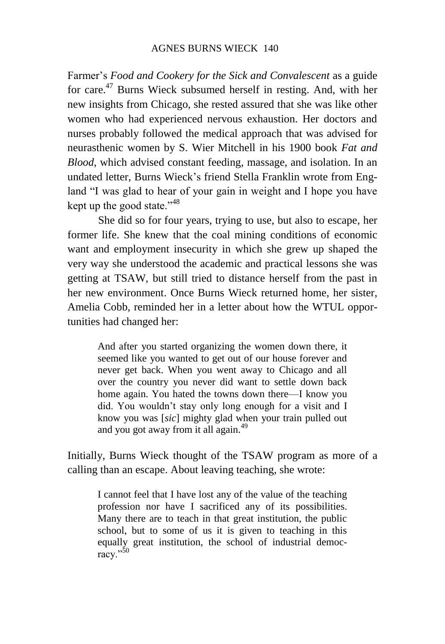Farmer's *Food and Cookery for the Sick and Convalescent* as a guide for care.<sup>47</sup> Burns Wieck subsumed herself in resting. And, with her new insights from Chicago, she rested assured that she was like other women who had experienced nervous exhaustion. Her doctors and nurses probably followed the medical approach that was advised for neurasthenic women by S. Wier Mitchell in his 1900 book *Fat and Blood*, which advised constant feeding, massage, and isolation. In an undated letter, Burns Wieck's friend Stella Franklin wrote from England "I was glad to hear of your gain in weight and I hope you have kept up the good state."<sup>48</sup>

She did so for four years, trying to use, but also to escape, her former life. She knew that the coal mining conditions of economic want and employment insecurity in which she grew up shaped the very way she understood the academic and practical lessons she was getting at TSAW, but still tried to distance herself from the past in her new environment. Once Burns Wieck returned home, her sister, Amelia Cobb, reminded her in a letter about how the WTUL opportunities had changed her:

And after you started organizing the women down there, it seemed like you wanted to get out of our house forever and never get back. When you went away to Chicago and all over the country you never did want to settle down back home again. You hated the towns down there—I know you did. You wouldn't stay only long enough for a visit and I know you was [*sic*] mighty glad when your train pulled out and you got away from it all again.<sup>49</sup>

Initially, Burns Wieck thought of the TSAW program as more of a calling than an escape. About leaving teaching, she wrote:

I cannot feel that I have lost any of the value of the teaching profession nor have I sacrificed any of its possibilities. Many there are to teach in that great institution, the public school, but to some of us it is given to teaching in this equally great institution, the school of industrial democracy."<sup>50</sup>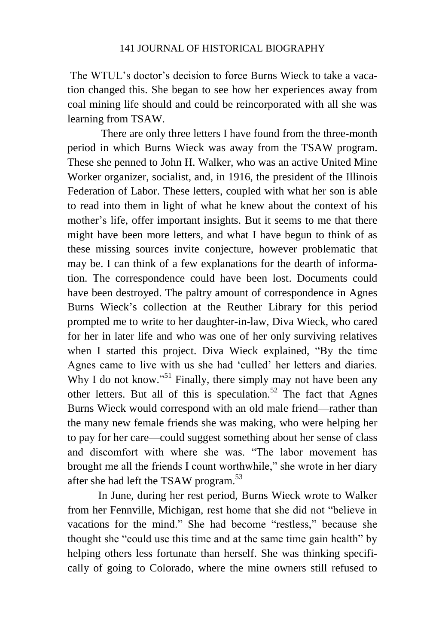The WTUL's doctor's decision to force Burns Wieck to take a vacation changed this. She began to see how her experiences away from coal mining life should and could be reincorporated with all she was learning from TSAW.

There are only three letters I have found from the three-month period in which Burns Wieck was away from the TSAW program. These she penned to John H. Walker, who was an active United Mine Worker organizer, socialist, and, in 1916, the president of the Illinois Federation of Labor. These letters, coupled with what her son is able to read into them in light of what he knew about the context of his mother's life, offer important insights. But it seems to me that there might have been more letters, and what I have begun to think of as these missing sources invite conjecture, however problematic that may be. I can think of a few explanations for the dearth of information. The correspondence could have been lost. Documents could have been destroyed. The paltry amount of correspondence in Agnes Burns Wieck's collection at the Reuther Library for this period prompted me to write to her daughter-in-law, Diva Wieck, who cared for her in later life and who was one of her only surviving relatives when I started this project. Diva Wieck explained, "By the time Agnes came to live with us she had 'culled' her letters and diaries. Why I do not know."<sup>51</sup> Finally, there simply may not have been any other letters. But all of this is speculation.<sup>52</sup> The fact that Agnes Burns Wieck would correspond with an old male friend—rather than the many new female friends she was making, who were helping her to pay for her care—could suggest something about her sense of class and discomfort with where she was. "The labor movement has brought me all the friends I count worthwhile," she wrote in her diary after she had left the TSAW program.<sup>53</sup>

In June, during her rest period, Burns Wieck wrote to Walker from her Fennville, Michigan, rest home that she did not "believe in vacations for the mind." She had become "restless," because she thought she "could use this time and at the same time gain health" by helping others less fortunate than herself. She was thinking specifically of going to Colorado, where the mine owners still refused to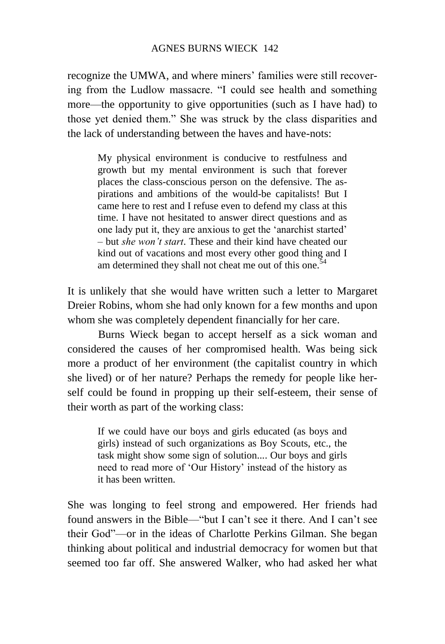recognize the UMWA, and where miners' families were still recovering from the Ludlow massacre. "I could see health and something more—the opportunity to give opportunities (such as I have had) to those yet denied them." She was struck by the class disparities and the lack of understanding between the haves and have-nots:

My physical environment is conducive to restfulness and growth but my mental environment is such that forever places the class-conscious person on the defensive. The aspirations and ambitions of the would-be capitalists! But I came here to rest and I refuse even to defend my class at this time. I have not hesitated to answer direct questions and as one lady put it, they are anxious to get the 'anarchist started' – but *she won't start*. These and their kind have cheated our kind out of vacations and most every other good thing and I am determined they shall not cheat me out of this one.<sup>54</sup>

It is unlikely that she would have written such a letter to Margaret Dreier Robins, whom she had only known for a few months and upon whom she was completely dependent financially for her care.

Burns Wieck began to accept herself as a sick woman and considered the causes of her compromised health. Was being sick more a product of her environment (the capitalist country in which she lived) or of her nature? Perhaps the remedy for people like herself could be found in propping up their self-esteem, their sense of their worth as part of the working class:

If we could have our boys and girls educated (as boys and girls) instead of such organizations as Boy Scouts, etc., the task might show some sign of solution.... Our boys and girls need to read more of 'Our History' instead of the history as it has been written.

She was longing to feel strong and empowered. Her friends had found answers in the Bible—"but I can't see it there. And I can't see their God"—or in the ideas of Charlotte Perkins Gilman. She began thinking about political and industrial democracy for women but that seemed too far off. She answered Walker, who had asked her what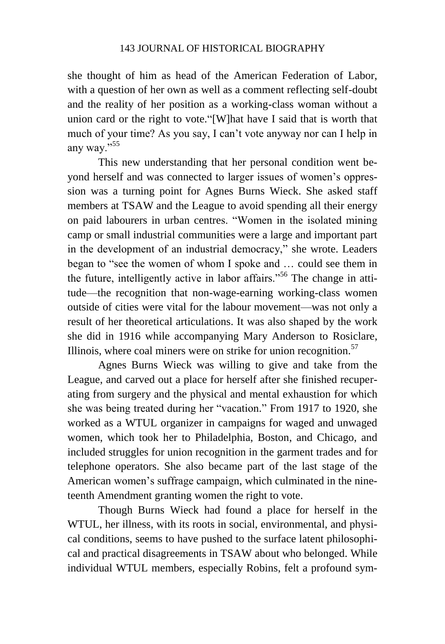she thought of him as head of the American Federation of Labor, with a question of her own as well as a comment reflecting self-doubt and the reality of her position as a working-class woman without a union card or the right to vote."[W]hat have I said that is worth that much of your time? As you say, I can't vote anyway nor can I help in any way."<sup>55</sup>

This new understanding that her personal condition went beyond herself and was connected to larger issues of women's oppression was a turning point for Agnes Burns Wieck. She asked staff members at TSAW and the League to avoid spending all their energy on paid labourers in urban centres. "Women in the isolated mining camp or small industrial communities were a large and important part in the development of an industrial democracy," she wrote. Leaders began to "see the women of whom I spoke and … could see them in the future, intelligently active in labor affairs."<sup>56</sup> The change in attitude—the recognition that non-wage-earning working-class women outside of cities were vital for the labour movement—was not only a result of her theoretical articulations. It was also shaped by the work she did in 1916 while accompanying Mary Anderson to Rosiclare, Illinois, where coal miners were on strike for union recognition.<sup>57</sup>

Agnes Burns Wieck was willing to give and take from the League, and carved out a place for herself after she finished recuperating from surgery and the physical and mental exhaustion for which she was being treated during her "vacation." From 1917 to 1920, she worked as a WTUL organizer in campaigns for waged and unwaged women, which took her to Philadelphia, Boston, and Chicago, and included struggles for union recognition in the garment trades and for telephone operators. She also became part of the last stage of the American women's suffrage campaign, which culminated in the nineteenth Amendment granting women the right to vote.

Though Burns Wieck had found a place for herself in the WTUL, her illness, with its roots in social, environmental, and physical conditions, seems to have pushed to the surface latent philosophical and practical disagreements in TSAW about who belonged. While individual WTUL members, especially Robins, felt a profound sym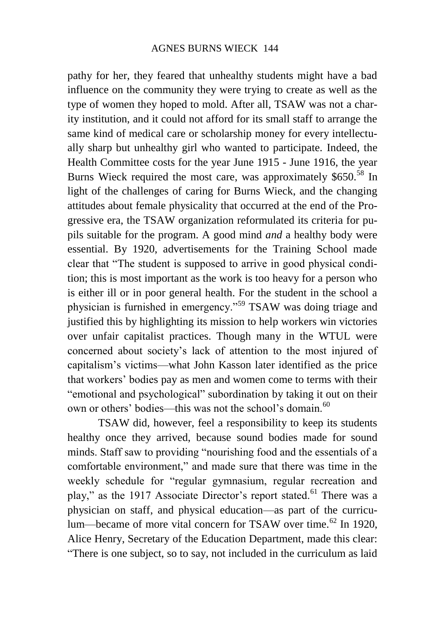pathy for her, they feared that unhealthy students might have a bad influence on the community they were trying to create as well as the type of women they hoped to mold. After all, TSAW was not a charity institution, and it could not afford for its small staff to arrange the same kind of medical care or scholarship money for every intellectually sharp but unhealthy girl who wanted to participate. Indeed, the Health Committee costs for the year June 1915 - June 1916, the year Burns Wieck required the most care, was approximately \$650.<sup>58</sup> In light of the challenges of caring for Burns Wieck, and the changing attitudes about female physicality that occurred at the end of the Progressive era, the TSAW organization reformulated its criteria for pupils suitable for the program. A good mind *and* a healthy body were essential. By 1920, advertisements for the Training School made clear that "The student is supposed to arrive in good physical condition; this is most important as the work is too heavy for a person who is either ill or in poor general health. For the student in the school a physician is furnished in emergency."<sup>59</sup> TSAW was doing triage and justified this by highlighting its mission to help workers win victories over unfair capitalist practices. Though many in the WTUL were concerned about society's lack of attention to the most injured of capitalism's victims—what John Kasson later identified as the price that workers' bodies pay as men and women come to terms with their "emotional and psychological" subordination by taking it out on their own or others' bodies—this was not the school's domain.<sup>60</sup>

TSAW did, however, feel a responsibility to keep its students healthy once they arrived, because sound bodies made for sound minds. Staff saw to providing "nourishing food and the essentials of a comfortable environment," and made sure that there was time in the weekly schedule for "regular gymnasium, regular recreation and play," as the 1917 Associate Director's report stated.<sup>61</sup> There was a physician on staff, and physical education—as part of the curriculum—became of more vital concern for TSAW over time.<sup>62</sup> In 1920, Alice Henry, Secretary of the Education Department, made this clear: "There is one subject, so to say, not included in the curriculum as laid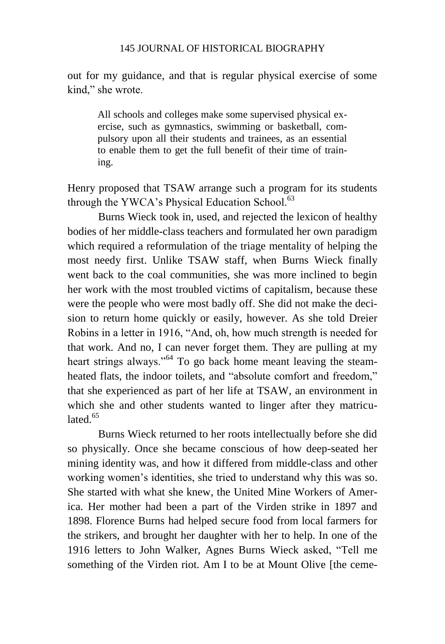out for my guidance, and that is regular physical exercise of some kind," she wrote.

All schools and colleges make some supervised physical exercise, such as gymnastics, swimming or basketball, compulsory upon all their students and trainees, as an essential to enable them to get the full benefit of their time of training.

Henry proposed that TSAW arrange such a program for its students through the YWCA's Physical Education School.<sup>63</sup>

Burns Wieck took in, used, and rejected the lexicon of healthy bodies of her middle-class teachers and formulated her own paradigm which required a reformulation of the triage mentality of helping the most needy first. Unlike TSAW staff, when Burns Wieck finally went back to the coal communities, she was more inclined to begin her work with the most troubled victims of capitalism, because these were the people who were most badly off. She did not make the decision to return home quickly or easily, however. As she told Dreier Robins in a letter in 1916, "And, oh, how much strength is needed for that work. And no, I can never forget them. They are pulling at my heart strings always."<sup>64</sup> To go back home meant leaving the steamheated flats, the indoor toilets, and "absolute comfort and freedom," that she experienced as part of her life at TSAW, an environment in which she and other students wanted to linger after they matriculated <sup>65</sup>

Burns Wieck returned to her roots intellectually before she did so physically. Once she became conscious of how deep-seated her mining identity was, and how it differed from middle-class and other working women's identities, she tried to understand why this was so. She started with what she knew, the United Mine Workers of America. Her mother had been a part of the Virden strike in 1897 and 1898. Florence Burns had helped secure food from local farmers for the strikers, and brought her daughter with her to help. In one of the 1916 letters to John Walker, Agnes Burns Wieck asked, "Tell me something of the Virden riot. Am I to be at Mount Olive [the ceme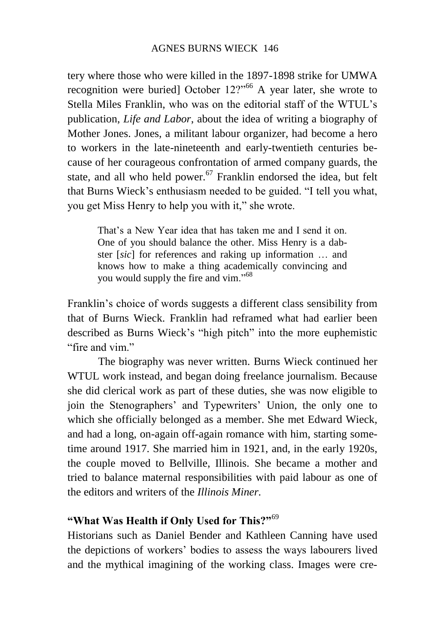tery where those who were killed in the 1897-1898 strike for UMWA recognition were buried] October  $12$ ?<sup>66</sup> A year later, she wrote to Stella Miles Franklin, who was on the editorial staff of the WTUL's publication, *Life and Labor*, about the idea of writing a biography of Mother Jones. Jones, a militant labour organizer, had become a hero to workers in the late-nineteenth and early-twentieth centuries because of her courageous confrontation of armed company guards, the state, and all who held power.<sup>67</sup> Franklin endorsed the idea, but felt that Burns Wieck's enthusiasm needed to be guided. "I tell you what, you get Miss Henry to help you with it," she wrote.

That's a New Year idea that has taken me and I send it on. One of you should balance the other. Miss Henry is a dabster [*sic*] for references and raking up information … and knows how to make a thing academically convincing and you would supply the fire and vim."<sup>68</sup>

Franklin's choice of words suggests a different class sensibility from that of Burns Wieck. Franklin had reframed what had earlier been described as Burns Wieck's "high pitch" into the more euphemistic "fire and vim."

The biography was never written. Burns Wieck continued her WTUL work instead, and began doing freelance journalism. Because she did clerical work as part of these duties, she was now eligible to join the Stenographers' and Typewriters' Union, the only one to which she officially belonged as a member. She met Edward Wieck, and had a long, on-again off-again romance with him, starting sometime around 1917. She married him in 1921, and, in the early 1920s, the couple moved to Bellville, Illinois. She became a mother and tried to balance maternal responsibilities with paid labour as one of the editors and writers of the *Illinois Miner.*

# **"What Was Health if Only Used for This?"**<sup>69</sup>

Historians such as Daniel Bender and Kathleen Canning have used the depictions of workers' bodies to assess the ways labourers lived and the mythical imagining of the working class. Images were cre-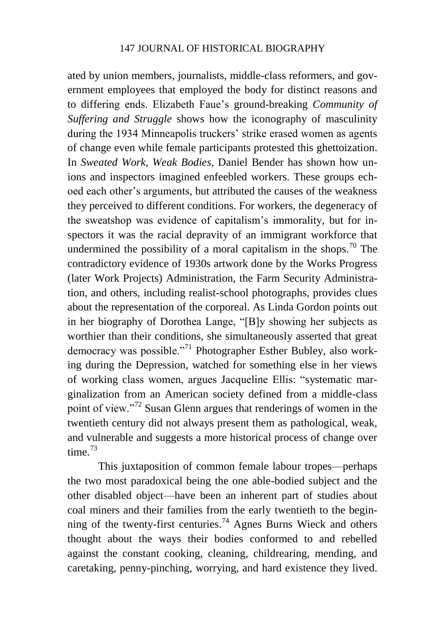ated by union members, journalists, middle-class reformers, and government employees that employed the body for distinct reasons and to differing ends. Elizabeth Faue's ground-breaking *Community of Suffering and Struggle* shows how the iconography of masculinity during the 1934 Minneapolis truckers' strike erased women as agents of change even while female participants protested this ghettoization. In *Sweated Work, Weak Bodies*, Daniel Bender has shown how unions and inspectors imagined enfeebled workers. These groups echoed each other's arguments, but attributed the causes of the weakness they perceived to different conditions. For workers, the degeneracy of the sweatshop was evidence of capitalism's immorality, but for inspectors it was the racial depravity of an immigrant workforce that undermined the possibility of a moral capitalism in the shops.<sup>70</sup> The contradictory evidence of 1930s artwork done by the Works Progress (later Work Projects) Administration, the Farm Security Administration, and others, including realist-school photographs, provides clues about the representation of the corporeal. As Linda Gordon points out in her biography of Dorothea Lange, "[B]y showing her subjects as worthier than their conditions, she simultaneously asserted that great democracy was possible."<sup>71</sup> Photographer Esther Bubley, also working during the Depression, watched for something else in her views of working class women, argues Jacqueline Ellis: "systematic marginalization from an American society defined from a middle-class point of view."<sup>72</sup> Susan Glenn argues that renderings of women in the twentieth century did not always present them as pathological, weak, and vulnerable and suggests a more historical process of change over time. $73$ 

This juxtaposition of common female labour tropes—perhaps the two most paradoxical being the one able-bodied subject and the other disabled object—have been an inherent part of studies about coal miners and their families from the early twentieth to the beginning of the twenty-first centuries.<sup>74</sup> Agnes Burns Wieck and others thought about the ways their bodies conformed to and rebelled against the constant cooking, cleaning, childrearing, mending, and caretaking, penny-pinching, worrying, and hard existence they lived.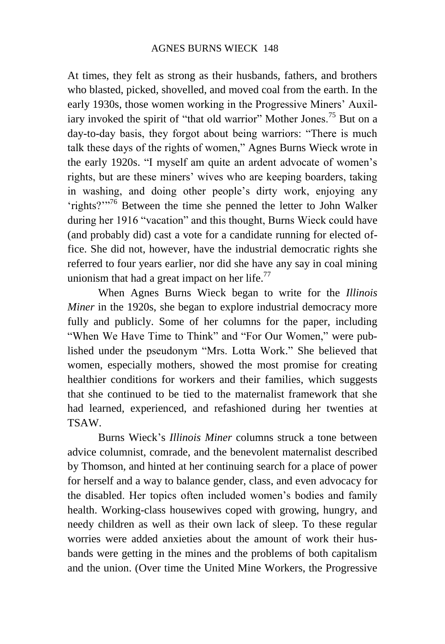At times, they felt as strong as their husbands, fathers, and brothers who blasted, picked, shovelled, and moved coal from the earth. In the early 1930s, those women working in the Progressive Miners' Auxiliary invoked the spirit of "that old warrior" Mother Jones.<sup>75</sup> But on a day-to-day basis, they forgot about being warriors: "There is much talk these days of the rights of women," Agnes Burns Wieck wrote in the early 1920s. "I myself am quite an ardent advocate of women's rights, but are these miners' wives who are keeping boarders, taking in washing, and doing other people's dirty work, enjoying any 'rights?'"<sup>76</sup> Between the time she penned the letter to John Walker during her 1916 "vacation" and this thought, Burns Wieck could have (and probably did) cast a vote for a candidate running for elected office. She did not, however, have the industrial democratic rights she referred to four years earlier, nor did she have any say in coal mining unionism that had a great impact on her life. $^{77}$ 

When Agnes Burns Wieck began to write for the *Illinois Miner* in the 1920s, she began to explore industrial democracy more fully and publicly. Some of her columns for the paper, including "When We Have Time to Think" and "For Our Women," were published under the pseudonym "Mrs. Lotta Work." She believed that women, especially mothers, showed the most promise for creating healthier conditions for workers and their families, which suggests that she continued to be tied to the maternalist framework that she had learned, experienced, and refashioned during her twenties at TSAW.

Burns Wieck's *Illinois Miner* columns struck a tone between advice columnist, comrade, and the benevolent maternalist described by Thomson, and hinted at her continuing search for a place of power for herself and a way to balance gender, class, and even advocacy for the disabled. Her topics often included women's bodies and family health. Working-class housewives coped with growing, hungry, and needy children as well as their own lack of sleep. To these regular worries were added anxieties about the amount of work their husbands were getting in the mines and the problems of both capitalism and the union. (Over time the United Mine Workers, the Progressive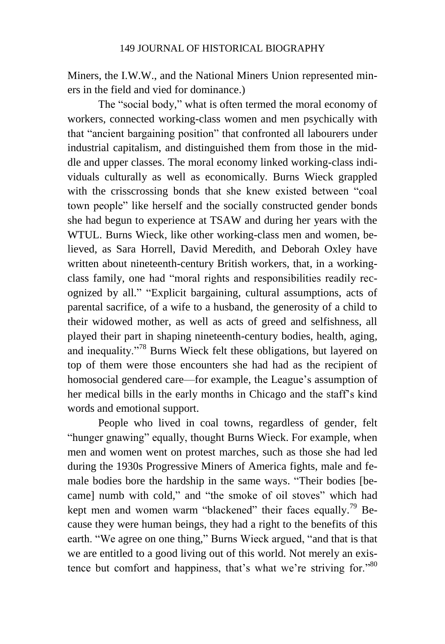Miners, the I.W.W., and the National Miners Union represented miners in the field and vied for dominance.)

The "social body," what is often termed the moral economy of workers, connected working-class women and men psychically with that "ancient bargaining position" that confronted all labourers under industrial capitalism, and distinguished them from those in the middle and upper classes. The moral economy linked working-class individuals culturally as well as economically. Burns Wieck grappled with the crisscrossing bonds that she knew existed between "coal town people" like herself and the socially constructed gender bonds she had begun to experience at TSAW and during her years with the WTUL. Burns Wieck, like other working-class men and women, believed, as Sara Horrell, David Meredith, and Deborah Oxley have written about nineteenth-century British workers, that, in a workingclass family, one had "moral rights and responsibilities readily recognized by all." "Explicit bargaining, cultural assumptions, acts of parental sacrifice, of a wife to a husband, the generosity of a child to their widowed mother, as well as acts of greed and selfishness, all played their part in shaping nineteenth-century bodies, health, aging, and inequality."<sup>78</sup> Burns Wieck felt these obligations, but layered on top of them were those encounters she had had as the recipient of homosocial gendered care—for example, the League's assumption of her medical bills in the early months in Chicago and the staff's kind words and emotional support.

People who lived in coal towns, regardless of gender, felt "hunger gnawing" equally, thought Burns Wieck. For example, when men and women went on protest marches, such as those she had led during the 1930s Progressive Miners of America fights, male and female bodies bore the hardship in the same ways. "Their bodies [became] numb with cold," and "the smoke of oil stoves" which had kept men and women warm "blackened" their faces equally.<sup>79</sup> Because they were human beings, they had a right to the benefits of this earth. "We agree on one thing," Burns Wieck argued, "and that is that we are entitled to a good living out of this world. Not merely an existence but comfort and happiness, that's what we're striving for."<sup>80</sup>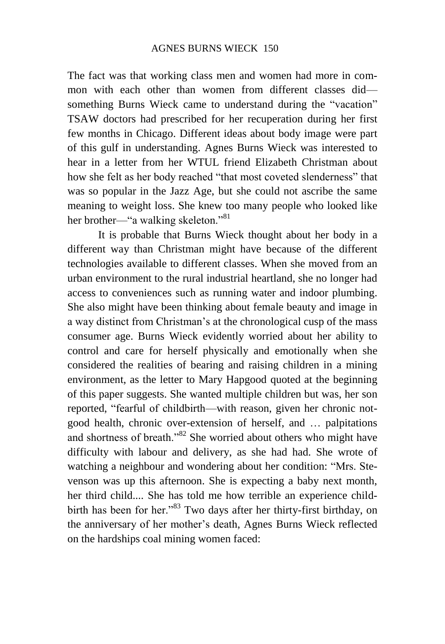The fact was that working class men and women had more in common with each other than women from different classes did something Burns Wieck came to understand during the "vacation" TSAW doctors had prescribed for her recuperation during her first few months in Chicago. Different ideas about body image were part of this gulf in understanding. Agnes Burns Wieck was interested to hear in a letter from her WTUL friend Elizabeth Christman about how she felt as her body reached "that most coveted slenderness" that was so popular in the Jazz Age, but she could not ascribe the same meaning to weight loss. She knew too many people who looked like her brother—"a walking skeleton."<sup>81</sup>

It is probable that Burns Wieck thought about her body in a different way than Christman might have because of the different technologies available to different classes. When she moved from an urban environment to the rural industrial heartland, she no longer had access to conveniences such as running water and indoor plumbing. She also might have been thinking about female beauty and image in a way distinct from Christman's at the chronological cusp of the mass consumer age. Burns Wieck evidently worried about her ability to control and care for herself physically and emotionally when she considered the realities of bearing and raising children in a mining environment, as the letter to Mary Hapgood quoted at the beginning of this paper suggests. She wanted multiple children but was, her son reported, "fearful of childbirth—with reason, given her chronic notgood health, chronic over-extension of herself, and … palpitations and shortness of breath."<sup>82</sup> She worried about others who might have difficulty with labour and delivery, as she had had. She wrote of watching a neighbour and wondering about her condition: "Mrs. Stevenson was up this afternoon. She is expecting a baby next month, her third child.... She has told me how terrible an experience childbirth has been for her."<sup>83</sup> Two days after her thirty-first birthday, on the anniversary of her mother's death, Agnes Burns Wieck reflected on the hardships coal mining women faced: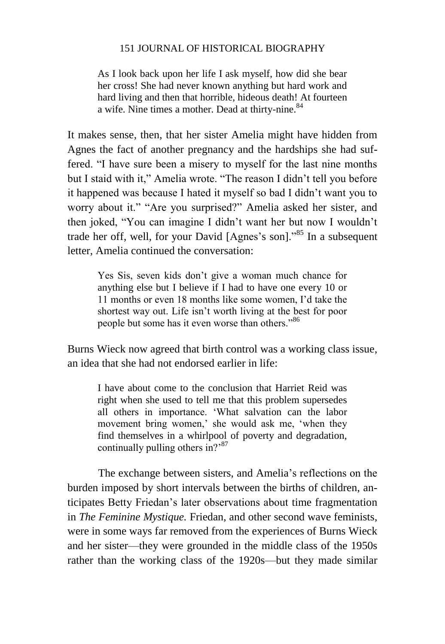As I look back upon her life I ask myself, how did she bear her cross! She had never known anything but hard work and hard living and then that horrible, hideous death! At fourteen a wife. Nine times a mother. Dead at thirty-nine.<sup>84</sup>

It makes sense, then, that her sister Amelia might have hidden from Agnes the fact of another pregnancy and the hardships she had suffered. "I have sure been a misery to myself for the last nine months but I staid with it," Amelia wrote. "The reason I didn't tell you before it happened was because I hated it myself so bad I didn't want you to worry about it." "Are you surprised?" Amelia asked her sister, and then joked, "You can imagine I didn't want her but now I wouldn't trade her off, well, for your David [Agnes's son]."<sup>85</sup> In a subsequent letter, Amelia continued the conversation:

Yes Sis, seven kids don't give a woman much chance for anything else but I believe if I had to have one every 10 or 11 months or even 18 months like some women, I'd take the shortest way out. Life isn't worth living at the best for poor people but some has it even worse than others."<sup>86</sup>

Burns Wieck now agreed that birth control was a working class issue, an idea that she had not endorsed earlier in life:

I have about come to the conclusion that Harriet Reid was right when she used to tell me that this problem supersedes all others in importance. 'What salvation can the labor movement bring women,' she would ask me, 'when they find themselves in a whirlpool of poverty and degradation, continually pulling others in?<sup>87</sup>

The exchange between sisters, and Amelia's reflections on the burden imposed by short intervals between the births of children, anticipates Betty Friedan's later observations about time fragmentation in *The Feminine Mystique.* Friedan, and other second wave feminists, were in some ways far removed from the experiences of Burns Wieck and her sister—they were grounded in the middle class of the 1950s rather than the working class of the 1920s—but they made similar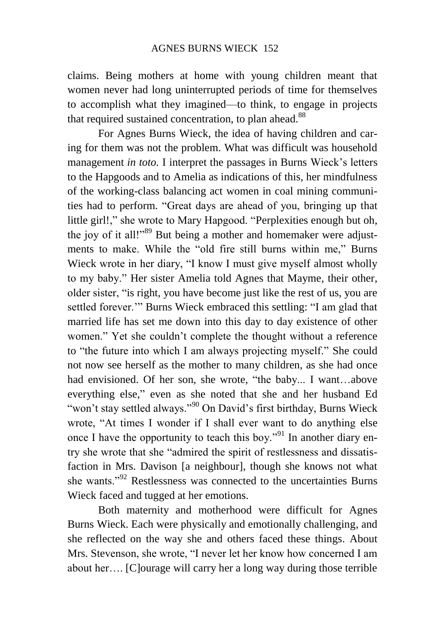claims. Being mothers at home with young children meant that women never had long uninterrupted periods of time for themselves to accomplish what they imagined—to think, to engage in projects that required sustained concentration, to plan ahead.<sup>88</sup>

For Agnes Burns Wieck, the idea of having children and caring for them was not the problem. What was difficult was household management *in toto.* I interpret the passages in Burns Wieck's letters to the Hapgoods and to Amelia as indications of this, her mindfulness of the working-class balancing act women in coal mining communities had to perform. "Great days are ahead of you, bringing up that little girl!," she wrote to Mary Hapgood. "Perplexities enough but oh, the joy of it all!"<sup>89</sup> But being a mother and homemaker were adjustments to make. While the "old fire still burns within me," Burns Wieck wrote in her diary, "I know I must give myself almost wholly to my baby." Her sister Amelia told Agnes that Mayme, their other, older sister, "is right, you have become just like the rest of us, you are settled forever.'" Burns Wieck embraced this settling: "I am glad that married life has set me down into this day to day existence of other women." Yet she couldn't complete the thought without a reference to "the future into which I am always projecting myself." She could not now see herself as the mother to many children, as she had once had envisioned. Of her son, she wrote, "the baby... I want…above everything else," even as she noted that she and her husband Ed "won't stay settled always."<sup>90</sup> On David's first birthday, Burns Wieck wrote, "At times I wonder if I shall ever want to do anything else once I have the opportunity to teach this boy."<sup>91</sup> In another diary entry she wrote that she "admired the spirit of restlessness and dissatisfaction in Mrs. Davison [a neighbour], though she knows not what she wants."<sup>92</sup> Restlessness was connected to the uncertainties Burns Wieck faced and tugged at her emotions.

Both maternity and motherhood were difficult for Agnes Burns Wieck. Each were physically and emotionally challenging, and she reflected on the way she and others faced these things. About Mrs. Stevenson, she wrote, "I never let her know how concerned I am about her…. [C]ourage will carry her a long way during those terrible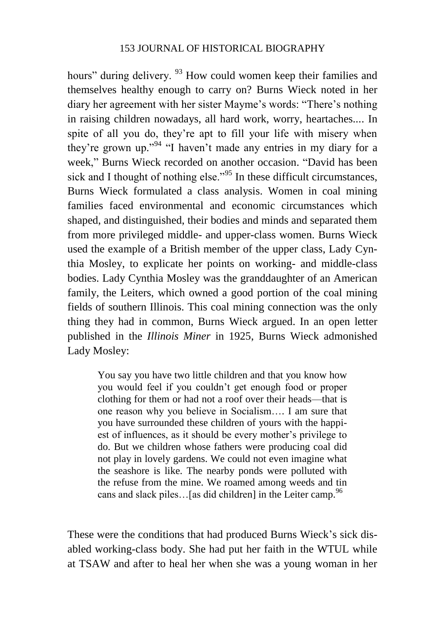hours" during delivery. <sup>93</sup> How could women keep their families and themselves healthy enough to carry on? Burns Wieck noted in her diary her agreement with her sister Mayme's words: "There's nothing in raising children nowadays, all hard work, worry, heartaches.... In spite of all you do, they're apt to fill your life with misery when they're grown up."<sup>94</sup> "I haven't made any entries in my diary for a week," Burns Wieck recorded on another occasion. "David has been sick and I thought of nothing else."<sup>95</sup> In these difficult circumstances, Burns Wieck formulated a class analysis. Women in coal mining families faced environmental and economic circumstances which shaped, and distinguished, their bodies and minds and separated them from more privileged middle- and upper-class women. Burns Wieck used the example of a British member of the upper class, Lady Cynthia Mosley, to explicate her points on working- and middle-class bodies. Lady Cynthia Mosley was the granddaughter of an American family, the Leiters, which owned a good portion of the coal mining fields of southern Illinois. This coal mining connection was the only thing they had in common, Burns Wieck argued. In an open letter published in the *Illinois Miner* in 1925, Burns Wieck admonished Lady Mosley:

You say you have two little children and that you know how you would feel if you couldn't get enough food or proper clothing for them or had not a roof over their heads—that is one reason why you believe in Socialism…. I am sure that you have surrounded these children of yours with the happiest of influences, as it should be every mother's privilege to do. But we children whose fathers were producing coal did not play in lovely gardens. We could not even imagine what the seashore is like. The nearby ponds were polluted with the refuse from the mine. We roamed among weeds and tin cans and slack piles... [as did children] in the Leiter camp.<sup>96</sup>

These were the conditions that had produced Burns Wieck's sick disabled working-class body. She had put her faith in the WTUL while at TSAW and after to heal her when she was a young woman in her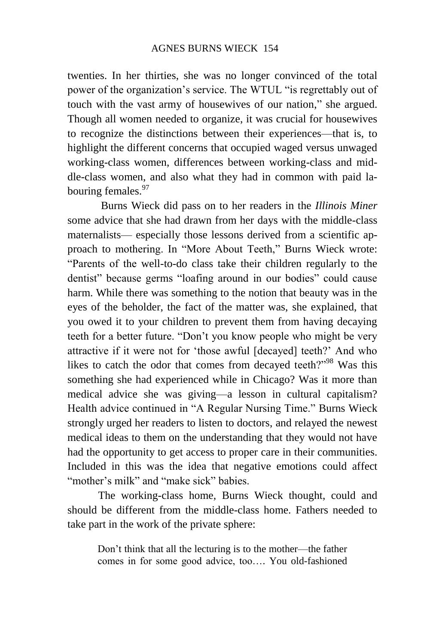twenties. In her thirties, she was no longer convinced of the total power of the organization's service. The WTUL "is regrettably out of touch with the vast army of housewives of our nation," she argued. Though all women needed to organize, it was crucial for housewives to recognize the distinctions between their experiences—that is, to highlight the different concerns that occupied waged versus unwaged working-class women, differences between working-class and middle-class women, and also what they had in common with paid labouring females.<sup>97</sup>

Burns Wieck did pass on to her readers in the *Illinois Miner* some advice that she had drawn from her days with the middle-class maternalists— especially those lessons derived from a scientific approach to mothering. In "More About Teeth," Burns Wieck wrote: "Parents of the well-to-do class take their children regularly to the dentist" because germs "loafing around in our bodies" could cause harm. While there was something to the notion that beauty was in the eyes of the beholder, the fact of the matter was, she explained, that you owed it to your children to prevent them from having decaying teeth for a better future. "Don't you know people who might be very attractive if it were not for 'those awful [decayed] teeth?' And who likes to catch the odor that comes from decayed teeth?"<sup>98</sup> Was this something she had experienced while in Chicago? Was it more than medical advice she was giving—a lesson in cultural capitalism? Health advice continued in "A Regular Nursing Time." Burns Wieck strongly urged her readers to listen to doctors, and relayed the newest medical ideas to them on the understanding that they would not have had the opportunity to get access to proper care in their communities. Included in this was the idea that negative emotions could affect "mother's milk" and "make sick" babies.

The working-class home, Burns Wieck thought, could and should be different from the middle-class home. Fathers needed to take part in the work of the private sphere:

Don't think that all the lecturing is to the mother—the father comes in for some good advice, too…. You old-fashioned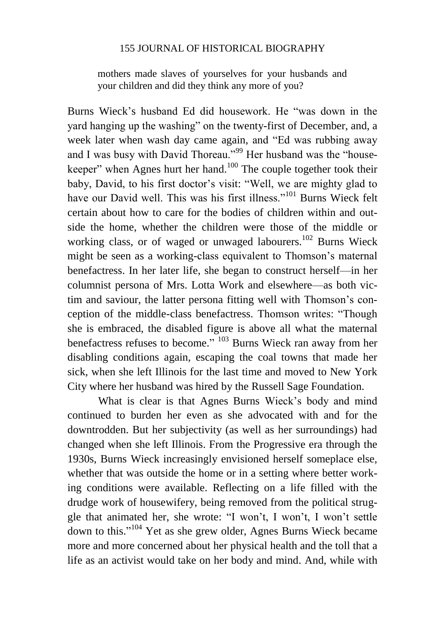mothers made slaves of yourselves for your husbands and your children and did they think any more of you?

Burns Wieck's husband Ed did housework. He "was down in the yard hanging up the washing" on the twenty-first of December, and, a week later when wash day came again, and "Ed was rubbing away and I was busy with David Thoreau."<sup>99</sup> Her husband was the "housekeeper" when Agnes hurt her hand.<sup>100</sup> The couple together took their baby, David, to his first doctor's visit: "Well, we are mighty glad to have our David well. This was his first illness."<sup>101</sup> Burns Wieck felt certain about how to care for the bodies of children within and outside the home, whether the children were those of the middle or working class, or of waged or unwaged labourers.<sup>102</sup> Burns Wieck might be seen as a working-class equivalent to Thomson's maternal benefactress. In her later life, she began to construct herself—in her columnist persona of Mrs. Lotta Work and elsewhere—as both victim and saviour, the latter persona fitting well with Thomson's conception of the middle-class benefactress. Thomson writes: "Though she is embraced, the disabled figure is above all what the maternal benefactress refuses to become." <sup>103</sup> Burns Wieck ran away from her disabling conditions again, escaping the coal towns that made her sick, when she left Illinois for the last time and moved to New York City where her husband was hired by the Russell Sage Foundation.

What is clear is that Agnes Burns Wieck's body and mind continued to burden her even as she advocated with and for the downtrodden. But her subjectivity (as well as her surroundings) had changed when she left Illinois. From the Progressive era through the 1930s, Burns Wieck increasingly envisioned herself someplace else, whether that was outside the home or in a setting where better working conditions were available. Reflecting on a life filled with the drudge work of housewifery, being removed from the political struggle that animated her, she wrote: "I won't, I won't, I won't settle down to this." <sup>104</sup> Yet as she grew older, Agnes Burns Wieck became more and more concerned about her physical health and the toll that a life as an activist would take on her body and mind. And, while with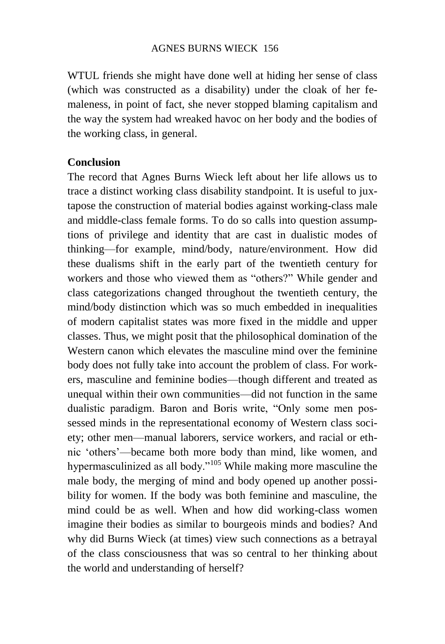WTUL friends she might have done well at hiding her sense of class (which was constructed as a disability) under the cloak of her femaleness, in point of fact, she never stopped blaming capitalism and the way the system had wreaked havoc on her body and the bodies of the working class, in general.

## **Conclusion**

The record that Agnes Burns Wieck left about her life allows us to trace a distinct working class disability standpoint. It is useful to juxtapose the construction of material bodies against working-class male and middle-class female forms. To do so calls into question assumptions of privilege and identity that are cast in dualistic modes of thinking—for example, mind/body, nature/environment. How did these dualisms shift in the early part of the twentieth century for workers and those who viewed them as "others?" While gender and class categorizations changed throughout the twentieth century, the mind/body distinction which was so much embedded in inequalities of modern capitalist states was more fixed in the middle and upper classes. Thus, we might posit that the philosophical domination of the Western canon which elevates the masculine mind over the feminine body does not fully take into account the problem of class. For workers, masculine and feminine bodies—though different and treated as unequal within their own communities—did not function in the same dualistic paradigm. Baron and Boris write, "Only some men possessed minds in the representational economy of Western class society; other men—manual laborers, service workers, and racial or ethnic 'others'—became both more body than mind, like women, and hypermasculinized as all body."<sup>105</sup> While making more masculine the male body, the merging of mind and body opened up another possibility for women. If the body was both feminine and masculine, the mind could be as well. When and how did working-class women imagine their bodies as similar to bourgeois minds and bodies? And why did Burns Wieck (at times) view such connections as a betrayal of the class consciousness that was so central to her thinking about the world and understanding of herself?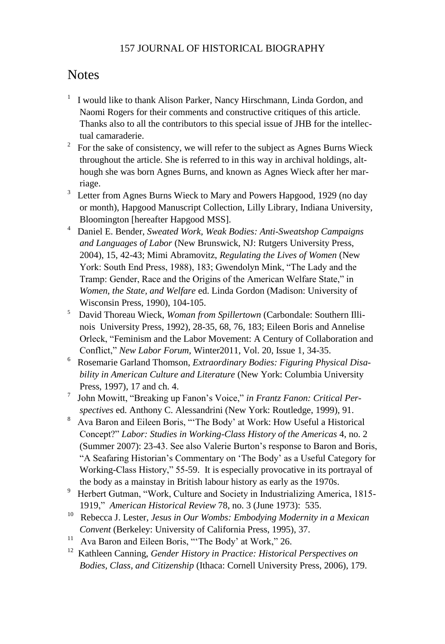# **Notes**

- <sup>1</sup> I would like to thank Alison Parker, Nancy Hirschmann, Linda Gordon, and Naomi Rogers for their comments and constructive critiques of this article. Thanks also to all the contributors to this special issue of JHB for the intellectual camaraderie.
- $2^2$  For the sake of consistency, we will refer to the subject as Agnes Burns Wieck throughout the article. She is referred to in this way in archival holdings, although she was born Agnes Burns, and known as Agnes Wieck after her marriage.
- <sup>3</sup> Letter from Agnes Burns Wieck to Mary and Powers Hapgood, 1929 (no day or month), Hapgood Manuscript Collection, Lilly Library, Indiana University, Bloomington [hereafter Hapgood MSS].
- 4 Daniel E. Bender, *Sweated Work, Weak Bodies: Anti-Sweatshop Campaigns and Languages of Labor* (New Brunswick, NJ: Rutgers University Press, 2004), 15, 42-43; Mimi Abramovitz, *Regulating the Lives of Women* (New York: South End Press, 1988), 183; Gwendolyn Mink, "The Lady and the Tramp: Gender, Race and the Origins of the American Welfare State," in *Women, the State, and Welfare* ed. Linda Gordon (Madison: University of Wisconsin Press, 1990), 104-105.
- 5 David Thoreau Wieck, *Woman from Spillertown* (Carbondale: Southern Illinois University Press, 1992), 28-35, 68, 76, 183; Eileen Boris and Annelise Orleck, "Feminism and the Labor Movement: A Century of Collaboration and Conflict," *New Labor Forum,* Winter2011, Vol. 20, Issue 1, 34-35.
- 6 Rosemarie Garland Thomson, *Extraordinary Bodies: Figuring Physical Disability in American Culture and Literature* (New York: Columbia University Press, 1997), 17 and ch. 4.
- 7 John Mowitt, "Breaking up Fanon's Voice," *in Frantz Fanon: Critical Perspectives* ed. Anthony C. Alessandrini (New York: Routledge, 1999), 91.
- <sup>8</sup> Ava Baron and Eileen Boris, "The Body' at Work: How Useful a Historical Concept?" *Labor: Studies in Working-Class History of the Americas* 4, no. 2 (Summer 2007): 23-43. See also Valerie Burton's response to Baron and Boris, "A Seafaring Historian's Commentary on 'The Body' as a Useful Category for Working-Class History," 55-59. It is especially provocative in its portrayal of the body as a mainstay in British labour history as early as the 1970s.
- <sup>9</sup> Herbert Gutman, "Work, Culture and Society in Industrializing America, 1815-1919," *American Historical Review* 78, no. 3 (June 1973): 535.
- <sup>10</sup> Rebecca J. Lester, Jesus in Our Wombs: Embodying Modernity in a Mexican *Convent* (Berkeley: University of California Press, 1995), 37.
- <sup>11</sup> Ava Baron and Eileen Boris, "The Body' at Work," 26.
- <sup>12</sup> Kathleen Canning, *Gender History in Practice: Historical Perspectives on Bodies, Class, and Citizenship* (Ithaca: Cornell University Press, 2006), 179.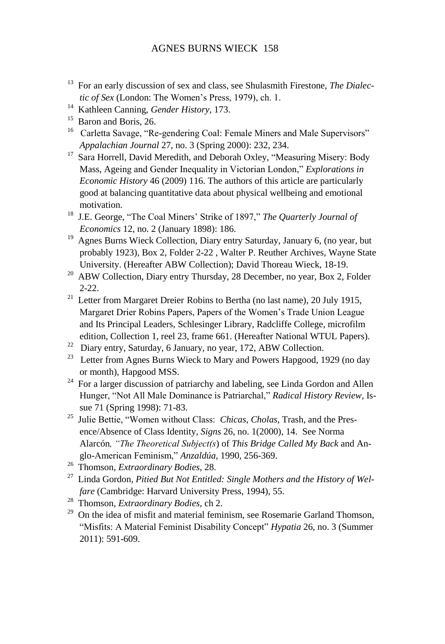#### AGNES BURNS WIECK 158

- <sup>13</sup> For an early discussion of sex and class, see Shulasmith Firestone, *The Dialectic of Sex* (London: The Women's Press, 1979), ch. 1.
- <sup>14</sup> Kathleen Canning, *Gender History*, 173.
- <sup>15</sup> Baron and Boris, 26.
- <sup>16</sup> Carletta Savage, "Re-gendering Coal: Female Miners and Male Supervisors" *Appalachian Journal* 27, no. 3 (Spring 2000): 232, 234.
- <sup>17</sup> Sara Horrell, David Meredith, and Deborah Oxley, "Measuring Misery: Body Mass, Ageing and Gender Inequality in Victorian London," *Explorations in Economic History* 46 (2009) 116. The authors of this article are particularly good at balancing quantitative data about physical wellbeing and emotional motivation.
- <sup>18</sup> J.E. George*,* "The Coal Miners' Strike of 1897," *The Quarterly Journal of Economics* 12, no. 2 (January 1898): 186.
- <sup>19</sup> Agnes Burns Wieck Collection, Diary entry Saturday, January 6, (no year, but probably 1923), Box 2, Folder 2-22 , Walter P. Reuther Archives, Wayne State University. (Hereafter ABW Collection); David Thoreau Wieck, 18-19.
- <sup>20</sup> ABW Collection, Diary entry Thursday, 28 December, no year, Box 2, Folder 2-22.
- <sup>21</sup> Letter from Margaret Dreier Robins to Bertha (no last name), 20 July 1915, Margaret Drier Robins Papers, Papers of the Women's Trade Union League and Its Principal Leaders, Schlesinger Library, Radcliffe College, microfilm edition, Collection 1, reel 23, frame 661. (Hereafter National WTUL Papers).
- $22$  Diary entry, Saturday, 6 January, no year, 172, ABW Collection.
- <sup>23</sup> Letter from Agnes Burns Wieck to Mary and Powers Hapgood, 1929 (no day or month), Hapgood MSS.
- <sup>24</sup> For a larger discussion of patriarchy and labeling, see Linda Gordon and Allen Hunger, "Not All Male Dominance is Patriarchal," *Radical History Review,* Issue 71 (Spring 1998): 71-83.
- <sup>25</sup> Julie Bettie, "Women without Class: *Chicas*, *Cholas*, Trash, and the Presence/Absence of Class Identity*, Signs* 26, no. 1(2000), 14. See Norma Alarcón*, "The Theoretical Subject(s*) of *This Bridge Called My Back* and Anglo-American Feminism," *Anzaldúa*, 1990, 256-369.
- <sup>26</sup> Thomson, *Extraordinary Bodies*, 28.
- <sup>27</sup> Linda Gordon*, Pitied But Not Entitled: Single Mothers and the History of Welfare* (Cambridge: Harvard University Press, 1994), 55.
- <sup>28</sup> Thomson, *Extraordinary Bodies,* ch 2.
- $29$  On the idea of misfit and material feminism, see Rosemarie Garland Thomson, "Misfits: A Material Feminist Disability Concept" *Hypatia* 26, no. 3 (Summer 2011): 591-609.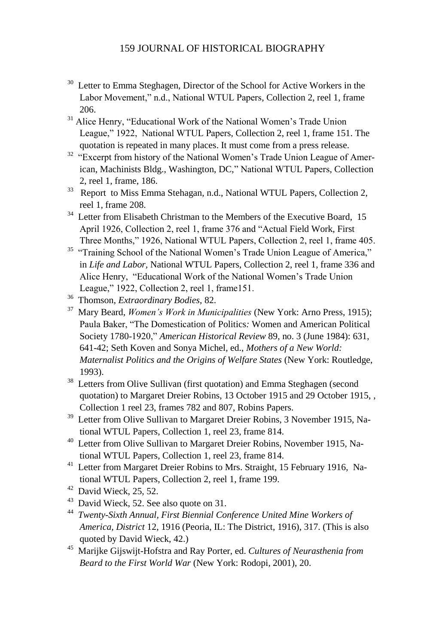- Letter to Emma Steghagen, Director of the School for Active Workers in the Labor Movement," n.d., National WTUL Papers, Collection 2, reel 1, frame 206.
- <sup>31</sup> Alice Henry, "Educational Work of the National Women's Trade Union League," 1922, National WTUL Papers, Collection 2, reel 1, frame 151. The quotation is repeated in many places. It must come from a press release.
- <sup>32</sup> "Excerpt from history of the National Women's Trade Union League of American, Machinists Bldg., Washington, DC," National WTUL Papers, Collection 2, reel 1, frame, 186.
- <sup>33</sup> Report to Miss Emma Stehagan, n.d., National WTUL Papers, Collection 2, reel 1, frame 208.
- <sup>34</sup> Letter from Elisabeth Christman to the Members of the Executive Board, 15 April 1926, Collection 2, reel 1, frame 376 and "Actual Field Work, First Three Months," 1926, National WTUL Papers, Collection 2, reel 1, frame 405.
- <sup>35</sup> "Training School of the National Women's Trade Union League of America," in *Life and Labor,* National WTUL Papers, Collection 2, reel 1, frame 336 and Alice Henry, "Educational Work of the National Women's Trade Union League," 1922, Collection 2, reel 1, frame151.
- <sup>36</sup> Thomson, *Extraordinary Bodies*, 82.
- <sup>37</sup> Mary Beard, *Women's Work in Municipalities* (New York: Arno Press, 1915); Paula Baker, "The Domestication of Politics*:* Women and American Political Society 1780-1920," *American Historical Review* 89, no. 3 (June 1984): 631, 641-42; Seth Koven and Sonya Michel, ed., *Mothers of a New World: Maternalist Politics and the Origins of Welfare States* (New York: Routledge, 1993).
- <sup>38</sup> Letters from Olive Sullivan (first quotation) and Emma Steghagen (second quotation) to Margaret Dreier Robins, 13 October 1915 and 29 October 1915, , Collection 1 reel 23, frames 782 and 807, Robins Papers.
- <sup>39</sup> Letter from Olive Sullivan to Margaret Dreier Robins, 3 November 1915, National WTUL Papers, Collection 1, reel 23, frame 814.
- <sup>40</sup> Letter from Olive Sullivan to Margaret Dreier Robins, November 1915, National WTUL Papers, Collection 1, reel 23, frame 814.
- <sup>41</sup> Letter from Margaret Dreier Robins to Mrs. Straight, 15 February 1916, National WTUL Papers, Collection 2, reel 1, frame 199.
- $42$  David Wieck, 25, 52.
- $43$  David Wieck, 52. See also quote on 31.
- <sup>44</sup> *Twenty-Sixth Annual, First Biennial Conference United Mine Workers of America, District* 12, 1916 (Peoria, IL: The District, 1916), 317. (This is also quoted by David Wieck, 42.)
- <sup>45</sup> Marijke Gijswijt-Hofstra and Ray Porter, ed. *Cultures of Neurasthenia from Beard to the First World War* (New York: Rodopi, 2001), 20.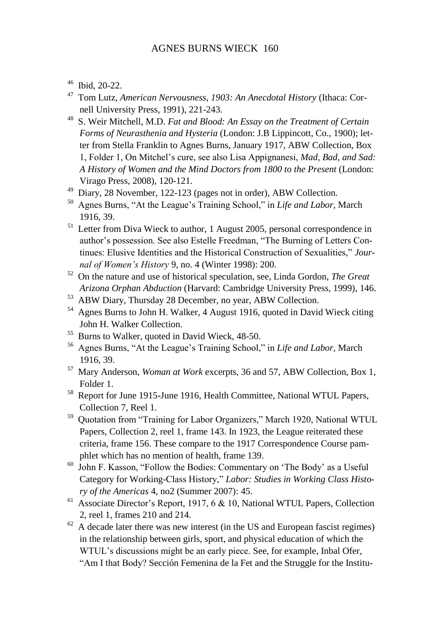<sup>46</sup> Ibid, 20-22.

- <sup>47</sup> Tom Lutz, *American Nervousness, 1903: An Anecdotal History* (Ithaca: Cornell University Press, 1991), 221-243.
- <sup>48</sup> S. Weir Mitchell, M.D. *Fat and Blood: An Essay on the Treatment of Certain Forms of Neurasthenia and Hysteria* (London: J.B Lippincott, Co., 1900); letter from Stella Franklin to Agnes Burns, January 1917, ABW Collection, Box 1, Folder 1, On Mitchel's cure, see also Lisa Appignanesi, *Mad, Bad, and Sad: A History of Women and the Mind Doctors from 1800 to the Present* (London: Virago Press, 2008), 120-121.
- <sup>49</sup> Diary, 28 November, 122-123 (pages not in order), ABW Collection.
- <sup>50</sup> Agnes Burns, "At the League's Training School," in *Life and Labor,* March 1916, 39.
- $51$  Letter from Diva Wieck to author, 1 August 2005, personal correspondence in author's possession. See also Estelle Freedman, "The Burning of Letters Continues: Elusive Identities and the Historical Construction of Sexualities," *Journal of Women's History* 9, no. 4 (Winter 1998): 200.
- <sup>52</sup> On the nature and use of historical speculation, see, Linda Gordon, *The Great Arizona Orphan Abduction* (Harvard: Cambridge University Press, 1999), 146.
- <sup>53</sup> ABW Diary, Thursday 28 December, no year, ABW Collection.
- <sup>54</sup> Agnes Burns to John H. Walker, 4 August 1916, quoted in David Wieck citing John H. Walker Collection.
- <sup>55</sup> Burns to Walker, quoted in David Wieck, 48-50.
- 56 Agnes Burns, "At the League's Training School," in *Life and Labor,* March 1916, 39.
- <sup>57</sup> Mary Anderson, *Woman at Work* excerpts, 36 and 57, ABW Collection, Box 1, Folder 1.
- <sup>58</sup> Report for June 1915-June 1916, Health Committee, National WTUL Papers, Collection 7, Reel 1.
- <sup>59</sup> Quotation from "Training for Labor Organizers," March 1920, National WTUL Papers, Collection 2, reel 1, frame 143. In 1923, the League reiterated these criteria, frame 156. These compare to the 1917 Correspondence Course pamphlet which has no mention of health, frame 139.
- <sup>60</sup> John F. Kasson, "Follow the Bodies: Commentary on 'The Body' as a Useful Category for Working-Class History," *Labor: Studies in Working Class History of the Americas* 4, no2 (Summer 2007): 45.
- <sup>61</sup> Associate Director's Report, 1917, 6  $\&$  10, National WTUL Papers, Collection 2, reel 1, frames 210 and 214.
- $62$  A decade later there was new interest (in the US and European fascist regimes) in the relationship between girls, sport, and physical education of which the WTUL's discussions might be an early piece. See, for example, Inbal Ofer, "Am I that Body? Sección Femenina de la Fet and the Struggle for the Institu-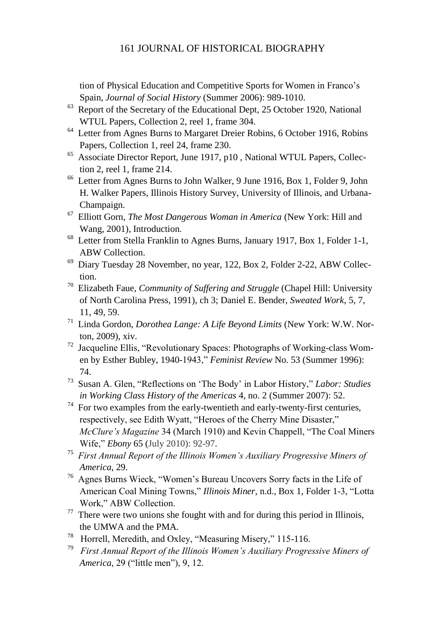tion of Physical Education and Competitive Sports for Women in Franco's Spain, *Journal of Social History* (Summer 2006): 989-1010.

- $63$  Report of the Secretary of the Educational Dept, 25 October 1920, National WTUL Papers, Collection 2, reel 1, frame 304.
- <sup>64</sup> Letter from Agnes Burns to Margaret Dreier Robins, 6 October 1916, Robins Papers, Collection 1, reel 24, frame 230.
- <sup>65</sup> Associate Director Report, June 1917, p10, National WTUL Papers, Collection 2, reel 1, frame 214.
- <sup>66</sup> Letter from Agnes Burns to John Walker, 9 June 1916, Box 1, Folder 9, John H. Walker Papers, Illinois History Survey, University of Illinois, and Urbana-Champaign.
- <sup>67</sup> Elliott Gorn, *The Most Dangerous Woman in America* (New York: Hill and Wang, 2001), Introduction.
- <sup>68</sup> Letter from Stella Franklin to Agnes Burns, January 1917, Box 1, Folder 1-1, ABW Collection.
- $69$  Diary Tuesday 28 November, no year, 122, Box 2, Folder 2-22, ABW Collection.
- <sup>70</sup> Elizabeth Faue, *Community of Suffering and Struggle* (Chapel Hill: University of North Carolina Press, 1991), ch 3; Daniel E. Bender, *Sweated Work*, 5, 7, 11, 49, 59.
- <sup>71</sup> Linda Gordon, *Dorothea Lange: A Life Beyond Limits* (New York: W.W. Norton, 2009), xiv.
- <sup>72</sup> Jacqueline Ellis, "Revolutionary Spaces: Photographs of Working-class Women by Esther Bubley, 1940-1943," *Feminist Review* No. 53 (Summer 1996): 74.
- <sup>73</sup> Susan A. Glen, "Reflections on 'The Body' in Labor History," *Labor: Studies in Working Class History of the Americas* 4, no. 2 (Summer 2007): 52.
- $74$  For two examples from the early-twentieth and early-twenty-first centuries, respectively, see Edith Wyatt, "Heroes of the Cherry Mine Disaster," *McClure's Magazine* 34 (March 1910) and Kevin Chappell, "The Coal Miners Wife," *Ebony* 65 (July 2010): 92-97.
- <sup>75</sup> *First Annual Report of the Illinois Women's Auxiliary Progressive Miners of America*, 29.
- <sup>76</sup> Agnes Burns Wieck, "Women's Bureau Uncovers Sorry facts in the Life of American Coal Mining Towns," *Illinois Miner*, n.d., Box 1, Folder 1-3, "Lotta Work," ABW Collection.
- $77$  There were two unions she fought with and for during this period in Illinois, the UMWA and the PMA.
- <sup>78</sup> Horrell, Meredith, and Oxley, "Measuring Misery," 115-116.
- 79 *First Annual Report of the Illinois Women's Auxiliary Progressive Miners of America*, 29 ("little men"), 9, 12.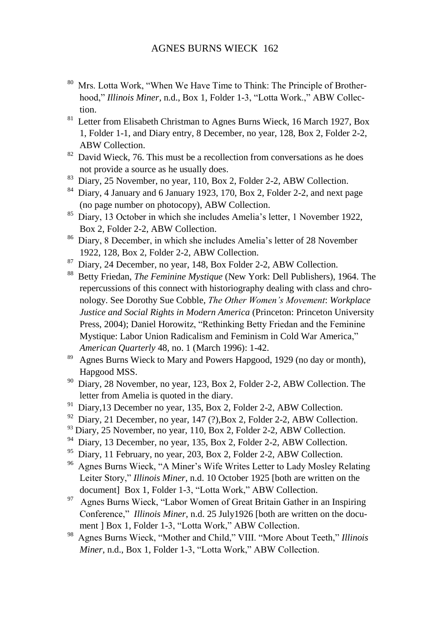- 80 Mrs. Lotta Work, "When We Have Time to Think: The Principle of Brotherhood," *Illinois Miner*, n.d., Box 1, Folder 1-3, "Lotta Work.," ABW Collection.
- <sup>81</sup> Letter from Elisabeth Christman to Agnes Burns Wieck, 16 March 1927, Box 1, Folder 1-1, and Diary entry, 8 December, no year, 128, Box 2, Folder 2-2, ABW Collection.
- $82$  David Wieck, 76. This must be a recollection from conversations as he does not provide a source as he usually does.
- <sup>83</sup> Diary, 25 November, no year, 110, Box 2, Folder 2-2, ABW Collection.
- <sup>84</sup> Diary, 4 January and 6 January 1923, 170, Box 2, Folder 2-2, and next page (no page number on photocopy), ABW Collection.
- <sup>85</sup> Diary, 13 October in which she includes Amelia's letter, 1 November 1922, Box 2, Folder 2-2, ABW Collection.
- <sup>86</sup> Diary, 8 December, in which she includes Amelia's letter of 28 November 1922, 128, Box 2, Folder 2-2, ABW Collection.
- <sup>87</sup> Diary, 24 December, no year, 148, Box Folder 2-2, ABW Collection.
- <sup>88</sup> Betty Friedan, *The Feminine Mystique* (New York: Dell Publishers), 1964. The repercussions of this connect with historiography dealing with class and chronology. See Dorothy Sue Cobble, *The Other Women's Movement*: *Workplace Justice and Social Rights in Modern America* (Princeton: Princeton University Press, 2004); Daniel Horowitz, "Rethinking Betty Friedan and the Feminine Mystique: Labor Union Radicalism and Feminism in Cold War America," *American Quarterly* 48, no. 1 (March 1996): 1-42.
- <sup>89</sup> Agnes Burns Wieck to Mary and Powers Hapgood, 1929 (no day or month), Hapgood MSS.
- <sup>90</sup> Diary, 28 November, no year, 123, Box 2, Folder 2-2, ABW Collection. The letter from Amelia is quoted in the diary.
- <sup>91</sup> Diary, 13 December no year, 135, Box 2, Folder 2-2, ABW Collection.
- <sup>92</sup> Diary, 21 December, no year, 147 (?), Box 2, Folder 2-2, ABW Collection.
- <sup>93</sup> Diary, 25 November, no year, 110, Box 2, Folder 2-2, ABW Collection.
- <sup>94</sup> Diary, 13 December, no year, 135, Box 2, Folder 2-2, ABW Collection.
- <sup>95</sup> Diary, 11 February, no year, 203, Box 2, Folder 2-2, ABW Collection.
- <sup>96</sup> Agnes Burns Wieck, "A Miner's Wife Writes Letter to Lady Mosley Relating Leiter Story," *Illinois Miner*, n.d. 10 October 1925 [both are written on the document] Box 1, Folder 1-3, "Lotta Work," ABW Collection.
- <sup>97</sup> Agnes Burns Wieck, "Labor Women of Great Britain Gather in an Inspiring Conference," *Illinois Miner*, n.d. 25 July1926 [both are written on the document ] Box 1, Folder 1-3, "Lotta Work," ABW Collection.
- <sup>98</sup> Agnes Burns Wieck, "Mother and Child," VIII. "More About Teeth," *Illinois Miner*, n.d., Box 1, Folder 1-3, "Lotta Work," ABW Collection.